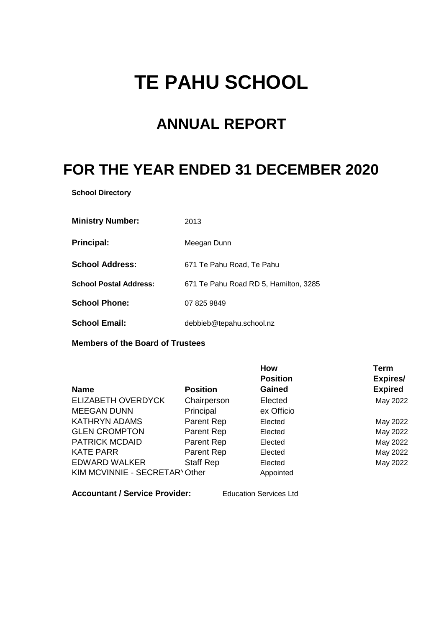# **TE PAHU SCHOOL**

## **ANNUAL REPORT**

## **FOR THE YEAR ENDED 31 DECEMBER 2020**

**School Directory**

| <b>Ministry Number:</b>       | 2013                                  |
|-------------------------------|---------------------------------------|
| <b>Principal:</b>             | Meegan Dunn                           |
| <b>School Address:</b>        | 671 Te Pahu Road, Te Pahu             |
| <b>School Postal Address:</b> | 671 Te Pahu Road RD 5, Hamilton, 3285 |
| <b>School Phone:</b>          | 07 825 9849                           |
| <b>School Email:</b>          | debbieb@tepahu.school.nz              |

**Members of the Board of Trustees**

|                                |                  | <b>How</b>      | <b>Term</b>    |
|--------------------------------|------------------|-----------------|----------------|
|                                |                  | <b>Position</b> | Expires/       |
| <b>Name</b>                    | <b>Position</b>  | <b>Gained</b>   | <b>Expired</b> |
| ELIZABETH OVERDYCK             | Chairperson      | Elected         | May 2022       |
| <b>MEEGAN DUNN</b>             | Principal        | ex Officio      |                |
| <b>KATHRYN ADAMS</b>           | Parent Rep       | Elected         | May 2022       |
| <b>GLEN CROMPTON</b>           | Parent Rep       | Elected         | May 2022       |
| <b>PATRICK MCDAID</b>          | Parent Rep       | Elected         | May 2022       |
| <b>KATE PARR</b>               | Parent Rep       | Elected         | May 2022       |
| <b>EDWARD WALKER</b>           | <b>Staff Rep</b> | Elected         | May 2022       |
| KIM MCVINNIE - SECRETARY Other |                  | Appointed       |                |

**Accountant / Service Provider:** Education Services Ltd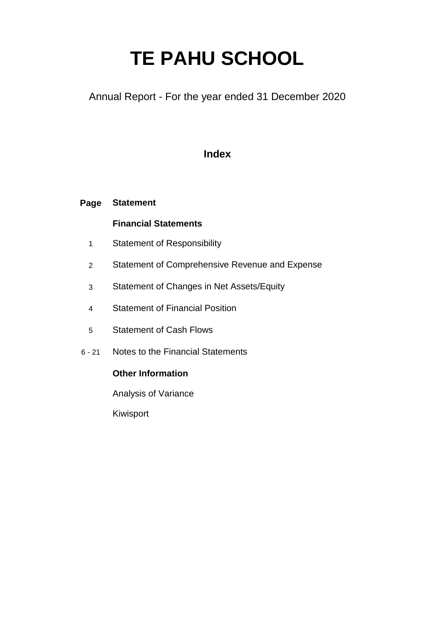# **TE PAHU SCHOOL**

Annual Report - For the year ended 31 December 2020

## **Index**

#### **Page Statement**

### **Financial Statements**

- 1 Statement of Responsibility
- 2 Statement of Comprehensive Revenue and Expense
- 3 Statement of Changes in Net Assets/Equity
- 4 Statement of Financial Position
- 5 Statement of Cash Flows
- 6 21 Notes to the Financial Statements

### **Other Information**

Analysis of Variance

Kiwisport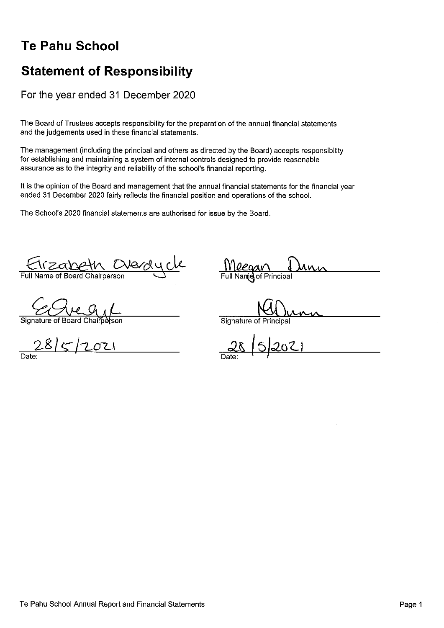## **Te Pahu School**

## **Statement of Responsibility**

For the year ended 31 December 2020

The Board of Trustees accepts responsibility for the preparation of the annual financial statements and the judgements used in these financial statements,

The management (including the principal and others as directed by the Board) accepts responsibility for establishing and maintaining a system of internal controls designed to provide reasonable assurance as to the integrity and reliability of the school's financial reporting.

It is the opinion of the Board and management that the annual financial statements for the financial year ended 31 December 2020 fairly reflects the financial position and operations of the school.

The School's 2020 financial statements are authorised for issue by the Board.

**Board Chairperson** 

Full Nanie of Principa

 $\pi$ <sup>i</sup>

Signature o ncinal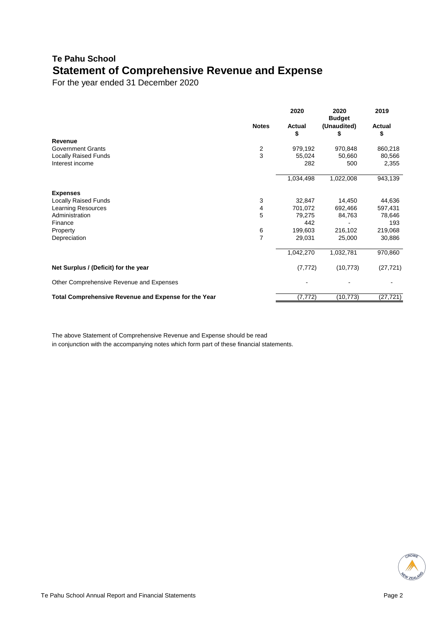## **Te Pahu School Statement of Comprehensive Revenue and Expense**

For the year ended 31 December 2020

|                                                      |                | 2020         | 2020<br><b>Budget</b> | 2019                |
|------------------------------------------------------|----------------|--------------|-----------------------|---------------------|
|                                                      | <b>Notes</b>   | Actual<br>\$ | (Unaudited)<br>\$     | <b>Actual</b><br>\$ |
| Revenue                                              |                |              |                       |                     |
| <b>Government Grants</b>                             |                | 979,192      | 970,848               | 860,218             |
| <b>Locally Raised Funds</b>                          | $\frac{2}{3}$  | 55,024       | 50,660                | 80,566              |
| Interest income                                      |                | 282          | 500                   | 2,355               |
|                                                      |                | 1,034,498    | 1,022,008             | 943,139             |
| <b>Expenses</b>                                      |                |              |                       |                     |
| <b>Locally Raised Funds</b>                          | 3              | 32,847       | 14,450                | 44,636              |
| <b>Learning Resources</b>                            | 4              | 701,072      | 692,466               | 597,431             |
| Administration                                       | 5              | 79,275       | 84,763                | 78,646              |
| Finance                                              |                | 442          |                       | 193                 |
| Property                                             | 6              | 199,603      | 216,102               | 219,068             |
| Depreciation                                         | $\overline{7}$ | 29,031       | 25,000                | 30,886              |
|                                                      |                | 1,042,270    | 1,032,781             | 970,860             |
| Net Surplus / (Deficit) for the year                 |                | (7, 772)     | (10, 773)             | (27, 721)           |
| Other Comprehensive Revenue and Expenses             |                |              |                       |                     |
| Total Comprehensive Revenue and Expense for the Year |                | (7, 772)     | (10,773)              | (27,721)            |

The above Statement of Comprehensive Revenue and Expense should be read

in conjunction with the accompanying notes which form part of these financial statements.

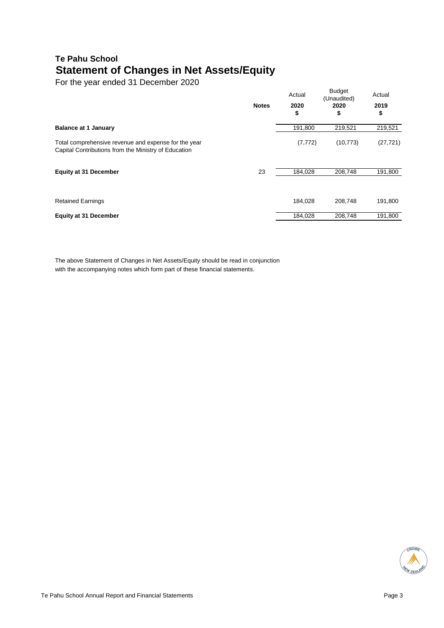## **Te Pahu School Statement of Changes in Net Assets/Equity**

For the year ended 31 December 2020

|                                                                                                              | <b>Notes</b> | Actual<br>2020<br>\$ | <b>Budget</b><br>(Unaudited)<br>2020<br>\$ | Actual<br>2019<br>\$ |
|--------------------------------------------------------------------------------------------------------------|--------------|----------------------|--------------------------------------------|----------------------|
| <b>Balance at 1 January</b>                                                                                  |              | 191.800              | 219,521                                    | 219,521              |
| Total comprehensive revenue and expense for the year<br>Capital Contributions from the Ministry of Education |              | (7, 772)             | (10, 773)                                  | (27, 721)            |
| <b>Equity at 31 December</b>                                                                                 | 23           | 184,028              | 208,748                                    | 191,800              |
| <b>Retained Earnings</b>                                                                                     |              | 184,028              | 208,748                                    | 191,800              |
| <b>Equity at 31 December</b>                                                                                 |              | 184,028              | 208,748                                    | 191,800              |

The above Statement of Changes in Net Assets/Equity should be read in conjunction with the accompanying notes which form part of these financial statements.

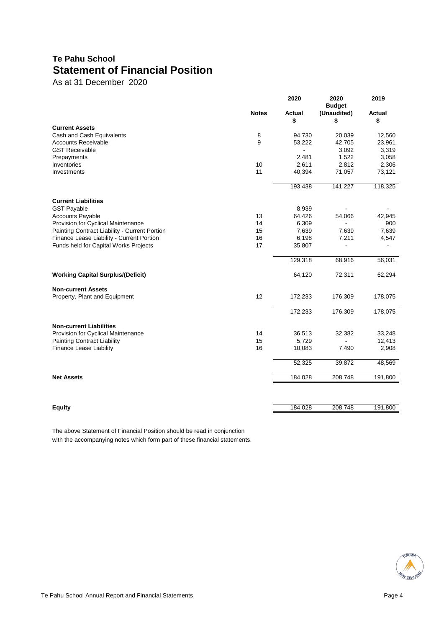### **Te Pahu School Statement of Financial Position**

As at 31 December 2020

|                                               |              | 2020                | 2020<br><b>Budget</b> | 2019                |
|-----------------------------------------------|--------------|---------------------|-----------------------|---------------------|
|                                               | <b>Notes</b> | <b>Actual</b><br>\$ | (Unaudited)<br>\$     | <b>Actual</b><br>\$ |
| <b>Current Assets</b>                         |              |                     |                       |                     |
| Cash and Cash Equivalents                     | 8            | 94,730              | 20,039                | 12,560              |
| <b>Accounts Receivable</b>                    | 9            | 53,222              | 42,705                | 23,961              |
| <b>GST Receivable</b>                         |              | L.                  | 3,092                 | 3,319               |
| Prepayments                                   |              | 2,481               | 1,522                 | 3,058               |
| Inventories                                   | 10           | 2,611               | 2,812                 | 2,306               |
| Investments                                   | 11           | 40,394              | 71,057                | 73,121              |
|                                               |              | 193,438             | 141,227               | 118,325             |
| <b>Current Liabilities</b>                    |              |                     |                       |                     |
| <b>GST Payable</b>                            |              | 8,939               |                       |                     |
| <b>Accounts Payable</b>                       | 13           | 64,426              | 54,066                | 42,945              |
| Provision for Cyclical Maintenance            | 14           | 6,309               |                       | 900                 |
| Painting Contract Liability - Current Portion | 15           | 7,639               | 7,639                 | 7,639               |
| Finance Lease Liability - Current Portion     | 16           | 6,198               | 7,211                 | 4,547               |
| Funds held for Capital Works Projects         | 17           | 35,807              |                       |                     |
|                                               |              | 129,318             | 68,916                | 56,031              |
| <b>Working Capital Surplus/(Deficit)</b>      |              | 64,120              | 72,311                | 62,294              |
| <b>Non-current Assets</b>                     |              |                     |                       |                     |
| Property, Plant and Equipment                 | 12           | 172,233             | 176,309               | 178,075             |
|                                               |              | 172,233             | 176,309               | 178,075             |
| <b>Non-current Liabilities</b>                |              |                     |                       |                     |
| Provision for Cyclical Maintenance            | 14           | 36,513              | 32,382                | 33,248              |
| <b>Painting Contract Liability</b>            | 15           | 5,729               |                       | 12,413              |
| <b>Finance Lease Liability</b>                | 16           | 10,083              | 7,490                 | 2,908               |
|                                               |              | 52,325              | 39,872                | 48,569              |
| <b>Net Assets</b>                             |              | 184,028             | 208,748               | 191,800             |
|                                               |              |                     |                       |                     |
| <b>Equity</b>                                 |              | 184,028             | 208,748               | 191,800             |

The above Statement of Financial Position should be read in conjunction

with the accompanying notes which form part of these financial statements.

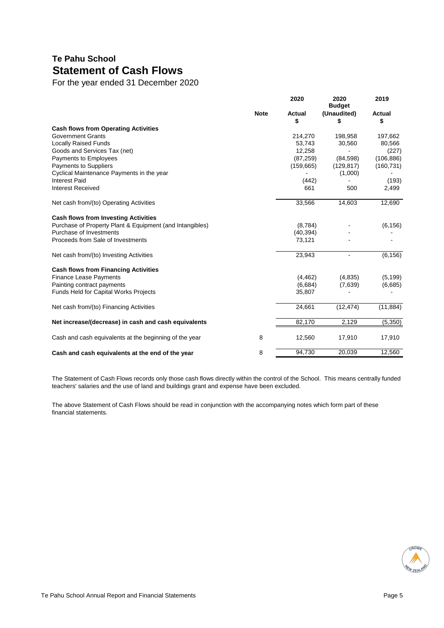### **Te Pahu School Statement of Cash Flows**

For the year ended 31 December 2020

| (Unaudited)<br><b>Note</b><br><b>Actual</b><br><b>Actual</b><br>\$<br>\$<br>\$<br><b>Cash flows from Operating Activities</b><br><b>Government Grants</b><br>214,270<br>198,958<br>197,662<br><b>Locally Raised Funds</b><br>53,743<br>30,560<br>80,566<br>Goods and Services Tax (net)<br>12,258<br>(227)<br>Payments to Employees<br>(87, 259)<br>(106, 886)<br>(84, 598)<br>Payments to Suppliers<br>(159, 665)<br>(160, 731)<br>(129, 817)<br>Cyclical Maintenance Payments in the year<br>(1,000)<br><b>Interest Paid</b><br>(193)<br>(442)<br><b>Interest Received</b><br>500<br>661<br>2,499<br>12,690<br>Net cash from/(to) Operating Activities<br>33,566<br>14,603<br><b>Cash flows from Investing Activities</b><br>Purchase of Property Plant & Equipment (and Intangibles)<br>(6, 156)<br>(8,784)<br>Purchase of Investments<br>(40, 394)<br>Proceeds from Sale of Investments<br>73,121<br>(6, 156)<br>23,943<br>Net cash from/(to) Investing Activities<br>$\blacksquare$<br><b>Cash flows from Financing Activities</b><br><b>Finance Lease Payments</b><br>(5, 199)<br>(4, 462)<br>(4,835)<br>(6,684)<br>(7,639)<br>(6,685)<br>Painting contract payments<br><b>Funds Held for Capital Works Projects</b><br>35,807<br>(12, 474)<br>(11, 884)<br>Net cash from/(to) Financing Activities<br>24,661<br>82.170<br>2.129<br>(5,350)<br>Net increase/(decrease) in cash and cash equivalents<br>8<br>Cash and cash equivalents at the beginning of the year<br>12,560<br>17,910<br>17,910<br>94,730<br>20,039<br>12,560<br>8<br>Cash and cash equivalents at the end of the year |  | 2020 | 2020<br><b>Budget</b> | 2019 |  |
|-----------------------------------------------------------------------------------------------------------------------------------------------------------------------------------------------------------------------------------------------------------------------------------------------------------------------------------------------------------------------------------------------------------------------------------------------------------------------------------------------------------------------------------------------------------------------------------------------------------------------------------------------------------------------------------------------------------------------------------------------------------------------------------------------------------------------------------------------------------------------------------------------------------------------------------------------------------------------------------------------------------------------------------------------------------------------------------------------------------------------------------------------------------------------------------------------------------------------------------------------------------------------------------------------------------------------------------------------------------------------------------------------------------------------------------------------------------------------------------------------------------------------------------------------------------------------------------------------|--|------|-----------------------|------|--|
|                                                                                                                                                                                                                                                                                                                                                                                                                                                                                                                                                                                                                                                                                                                                                                                                                                                                                                                                                                                                                                                                                                                                                                                                                                                                                                                                                                                                                                                                                                                                                                                               |  |      |                       |      |  |
|                                                                                                                                                                                                                                                                                                                                                                                                                                                                                                                                                                                                                                                                                                                                                                                                                                                                                                                                                                                                                                                                                                                                                                                                                                                                                                                                                                                                                                                                                                                                                                                               |  |      |                       |      |  |
|                                                                                                                                                                                                                                                                                                                                                                                                                                                                                                                                                                                                                                                                                                                                                                                                                                                                                                                                                                                                                                                                                                                                                                                                                                                                                                                                                                                                                                                                                                                                                                                               |  |      |                       |      |  |
|                                                                                                                                                                                                                                                                                                                                                                                                                                                                                                                                                                                                                                                                                                                                                                                                                                                                                                                                                                                                                                                                                                                                                                                                                                                                                                                                                                                                                                                                                                                                                                                               |  |      |                       |      |  |
|                                                                                                                                                                                                                                                                                                                                                                                                                                                                                                                                                                                                                                                                                                                                                                                                                                                                                                                                                                                                                                                                                                                                                                                                                                                                                                                                                                                                                                                                                                                                                                                               |  |      |                       |      |  |
|                                                                                                                                                                                                                                                                                                                                                                                                                                                                                                                                                                                                                                                                                                                                                                                                                                                                                                                                                                                                                                                                                                                                                                                                                                                                                                                                                                                                                                                                                                                                                                                               |  |      |                       |      |  |
|                                                                                                                                                                                                                                                                                                                                                                                                                                                                                                                                                                                                                                                                                                                                                                                                                                                                                                                                                                                                                                                                                                                                                                                                                                                                                                                                                                                                                                                                                                                                                                                               |  |      |                       |      |  |
|                                                                                                                                                                                                                                                                                                                                                                                                                                                                                                                                                                                                                                                                                                                                                                                                                                                                                                                                                                                                                                                                                                                                                                                                                                                                                                                                                                                                                                                                                                                                                                                               |  |      |                       |      |  |
|                                                                                                                                                                                                                                                                                                                                                                                                                                                                                                                                                                                                                                                                                                                                                                                                                                                                                                                                                                                                                                                                                                                                                                                                                                                                                                                                                                                                                                                                                                                                                                                               |  |      |                       |      |  |
|                                                                                                                                                                                                                                                                                                                                                                                                                                                                                                                                                                                                                                                                                                                                                                                                                                                                                                                                                                                                                                                                                                                                                                                                                                                                                                                                                                                                                                                                                                                                                                                               |  |      |                       |      |  |
|                                                                                                                                                                                                                                                                                                                                                                                                                                                                                                                                                                                                                                                                                                                                                                                                                                                                                                                                                                                                                                                                                                                                                                                                                                                                                                                                                                                                                                                                                                                                                                                               |  |      |                       |      |  |
|                                                                                                                                                                                                                                                                                                                                                                                                                                                                                                                                                                                                                                                                                                                                                                                                                                                                                                                                                                                                                                                                                                                                                                                                                                                                                                                                                                                                                                                                                                                                                                                               |  |      |                       |      |  |
|                                                                                                                                                                                                                                                                                                                                                                                                                                                                                                                                                                                                                                                                                                                                                                                                                                                                                                                                                                                                                                                                                                                                                                                                                                                                                                                                                                                                                                                                                                                                                                                               |  |      |                       |      |  |
|                                                                                                                                                                                                                                                                                                                                                                                                                                                                                                                                                                                                                                                                                                                                                                                                                                                                                                                                                                                                                                                                                                                                                                                                                                                                                                                                                                                                                                                                                                                                                                                               |  |      |                       |      |  |
|                                                                                                                                                                                                                                                                                                                                                                                                                                                                                                                                                                                                                                                                                                                                                                                                                                                                                                                                                                                                                                                                                                                                                                                                                                                                                                                                                                                                                                                                                                                                                                                               |  |      |                       |      |  |
|                                                                                                                                                                                                                                                                                                                                                                                                                                                                                                                                                                                                                                                                                                                                                                                                                                                                                                                                                                                                                                                                                                                                                                                                                                                                                                                                                                                                                                                                                                                                                                                               |  |      |                       |      |  |
|                                                                                                                                                                                                                                                                                                                                                                                                                                                                                                                                                                                                                                                                                                                                                                                                                                                                                                                                                                                                                                                                                                                                                                                                                                                                                                                                                                                                                                                                                                                                                                                               |  |      |                       |      |  |
|                                                                                                                                                                                                                                                                                                                                                                                                                                                                                                                                                                                                                                                                                                                                                                                                                                                                                                                                                                                                                                                                                                                                                                                                                                                                                                                                                                                                                                                                                                                                                                                               |  |      |                       |      |  |
|                                                                                                                                                                                                                                                                                                                                                                                                                                                                                                                                                                                                                                                                                                                                                                                                                                                                                                                                                                                                                                                                                                                                                                                                                                                                                                                                                                                                                                                                                                                                                                                               |  |      |                       |      |  |
|                                                                                                                                                                                                                                                                                                                                                                                                                                                                                                                                                                                                                                                                                                                                                                                                                                                                                                                                                                                                                                                                                                                                                                                                                                                                                                                                                                                                                                                                                                                                                                                               |  |      |                       |      |  |
|                                                                                                                                                                                                                                                                                                                                                                                                                                                                                                                                                                                                                                                                                                                                                                                                                                                                                                                                                                                                                                                                                                                                                                                                                                                                                                                                                                                                                                                                                                                                                                                               |  |      |                       |      |  |
|                                                                                                                                                                                                                                                                                                                                                                                                                                                                                                                                                                                                                                                                                                                                                                                                                                                                                                                                                                                                                                                                                                                                                                                                                                                                                                                                                                                                                                                                                                                                                                                               |  |      |                       |      |  |
|                                                                                                                                                                                                                                                                                                                                                                                                                                                                                                                                                                                                                                                                                                                                                                                                                                                                                                                                                                                                                                                                                                                                                                                                                                                                                                                                                                                                                                                                                                                                                                                               |  |      |                       |      |  |
|                                                                                                                                                                                                                                                                                                                                                                                                                                                                                                                                                                                                                                                                                                                                                                                                                                                                                                                                                                                                                                                                                                                                                                                                                                                                                                                                                                                                                                                                                                                                                                                               |  |      |                       |      |  |

The Statement of Cash Flows records only those cash flows directly within the control of the School. This means centrally funded teachers' salaries and the use of land and buildings grant and expense have been excluded.

The above Statement of Cash Flows should be read in conjunction with the accompanying notes which form part of these financial statements.

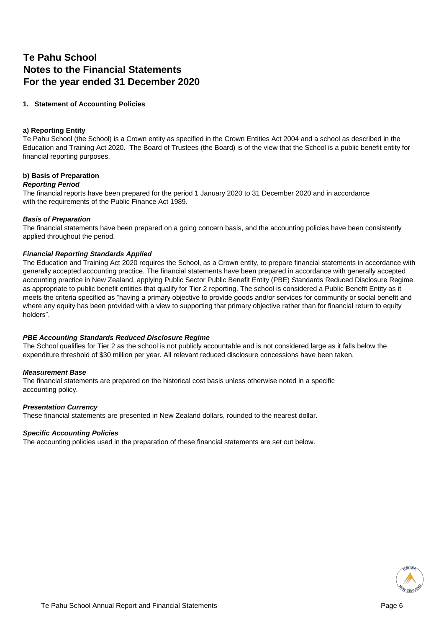### **Te Pahu School Notes to the Financial Statements For the year ended 31 December 2020**

#### **1. Statement of Accounting Policies**

#### **a) Reporting Entity**

Te Pahu School (the School) is a Crown entity as specified in the Crown Entities Act 2004 and a school as described in the Education and Training Act 2020. The Board of Trustees (the Board) is of the view that the School is a public benefit entity for financial reporting purposes.

#### **b) Basis of Preparation**

#### *Reporting Period*

The financial reports have been prepared for the period 1 January 2020 to 31 December 2020 and in accordance with the requirements of the Public Finance Act 1989.

#### *Basis of Preparation*

The financial statements have been prepared on a going concern basis, and the accounting policies have been consistently applied throughout the period.

#### *Financial Reporting Standards Applied*

The Education and Training Act 2020 requires the School, as a Crown entity, to prepare financial statements in accordance with generally accepted accounting practice. The financial statements have been prepared in accordance with generally accepted accounting practice in New Zealand, applying Public Sector Public Benefit Entity (PBE) Standards Reduced Disclosure Regime as appropriate to public benefit entities that qualify for Tier 2 reporting. The school is considered a Public Benefit Entity as it meets the criteria specified as "having a primary objective to provide goods and/or services for community or social benefit and where any equity has been provided with a view to supporting that primary objective rather than for financial return to equity holders".

#### *PBE Accounting Standards Reduced Disclosure Regime*

The School qualifies for Tier 2 as the school is not publicly accountable and is not considered large as it falls below the expenditure threshold of \$30 million per year. All relevant reduced disclosure concessions have been taken.

#### *Measurement Base*

The financial statements are prepared on the historical cost basis unless otherwise noted in a specific accounting policy.

#### *Presentation Currency*

These financial statements are presented in New Zealand dollars, rounded to the nearest dollar.

#### *Specific Accounting Policies*

The accounting policies used in the preparation of these financial statements are set out below.

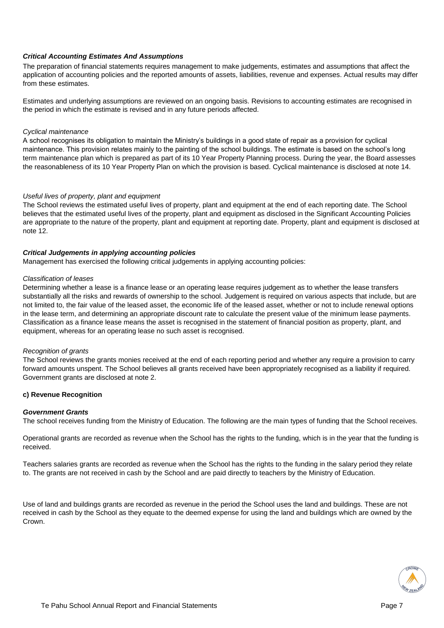#### *Critical Accounting Estimates And Assumptions*

The preparation of financial statements requires management to make judgements, estimates and assumptions that affect the application of accounting policies and the reported amounts of assets, liabilities, revenue and expenses. Actual results may differ from these estimates.

Estimates and underlying assumptions are reviewed on an ongoing basis. Revisions to accounting estimates are recognised in the period in which the estimate is revised and in any future periods affected.

#### *Cyclical maintenance*

A school recognises its obligation to maintain the Ministry's buildings in a good state of repair as a provision for cyclical maintenance. This provision relates mainly to the painting of the school buildings. The estimate is based on the school's long term maintenance plan which is prepared as part of its 10 Year Property Planning process. During the year, the Board assesses the reasonableness of its 10 Year Property Plan on which the provision is based. Cyclical maintenance is disclosed at note 14.

#### *Useful lives of property, plant and equipment*

The School reviews the estimated useful lives of property, plant and equipment at the end of each reporting date. The School believes that the estimated useful lives of the property, plant and equipment as disclosed in the Significant Accounting Policies are appropriate to the nature of the property, plant and equipment at reporting date. Property, plant and equipment is disclosed at note 12.

#### *Critical Judgements in applying accounting policies*

Management has exercised the following critical judgements in applying accounting policies:

#### *Classification of leases*

Determining whether a lease is a finance lease or an operating lease requires judgement as to whether the lease transfers substantially all the risks and rewards of ownership to the school. Judgement is required on various aspects that include, but are not limited to, the fair value of the leased asset, the economic life of the leased asset, whether or not to include renewal options in the lease term, and determining an appropriate discount rate to calculate the present value of the minimum lease payments. Classification as a finance lease means the asset is recognised in the statement of financial position as property, plant, and equipment, whereas for an operating lease no such asset is recognised.

#### *Recognition of grants*

The School reviews the grants monies received at the end of each reporting period and whether any require a provision to carry forward amounts unspent. The School believes all grants received have been appropriately recognised as a liability if required. Government grants are disclosed at note 2.

#### **c) Revenue Recognition**

#### *Government Grants*

The school receives funding from the Ministry of Education. The following are the main types of funding that the School receives.

Operational grants are recorded as revenue when the School has the rights to the funding, which is in the year that the funding is received.

Teachers salaries grants are recorded as revenue when the School has the rights to the funding in the salary period they relate to. The grants are not received in cash by the School and are paid directly to teachers by the Ministry of Education.

Use of land and buildings grants are recorded as revenue in the period the School uses the land and buildings. These are not received in cash by the School as they equate to the deemed expense for using the land and buildings which are owned by the Crown.

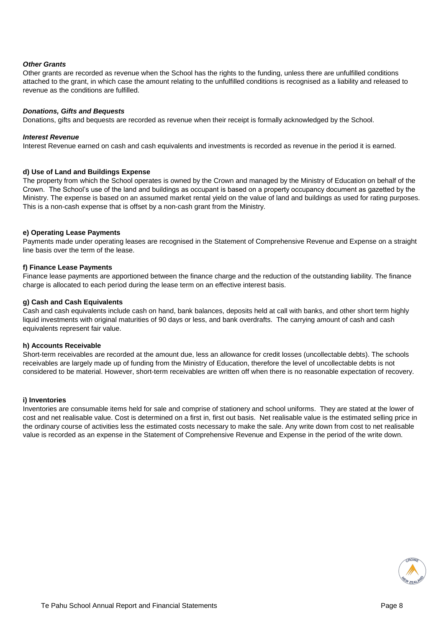#### *Other Grants*

Other grants are recorded as revenue when the School has the rights to the funding, unless there are unfulfilled conditions attached to the grant, in which case the amount relating to the unfulfilled conditions is recognised as a liability and released to revenue as the conditions are fulfilled.

#### *Donations, Gifts and Bequests*

Donations, gifts and bequests are recorded as revenue when their receipt is formally acknowledged by the School.

#### *Interest Revenue*

Interest Revenue earned on cash and cash equivalents and investments is recorded as revenue in the period it is earned.

#### **d) Use of Land and Buildings Expense**

The property from which the School operates is owned by the Crown and managed by the Ministry of Education on behalf of the Crown. The School's use of the land and buildings as occupant is based on a property occupancy document as gazetted by the Ministry. The expense is based on an assumed market rental yield on the value of land and buildings as used for rating purposes. This is a non-cash expense that is offset by a non-cash grant from the Ministry.

#### **e) Operating Lease Payments**

Payments made under operating leases are recognised in the Statement of Comprehensive Revenue and Expense on a straight line basis over the term of the lease.

#### **f) Finance Lease Payments**

Finance lease payments are apportioned between the finance charge and the reduction of the outstanding liability. The finance charge is allocated to each period during the lease term on an effective interest basis.

#### **g) Cash and Cash Equivalents**

Cash and cash equivalents include cash on hand, bank balances, deposits held at call with banks, and other short term highly liquid investments with original maturities of 90 days or less, and bank overdrafts. The carrying amount of cash and cash equivalents represent fair value.

#### **h) Accounts Receivable**

Short-term receivables are recorded at the amount due, less an allowance for credit losses (uncollectable debts). The schools receivables are largely made up of funding from the Ministry of Education, therefore the level of uncollectable debts is not considered to be material. However, short-term receivables are written off when there is no reasonable expectation of recovery.

#### **i) Inventories**

Inventories are consumable items held for sale and comprise of stationery and school uniforms. They are stated at the lower of cost and net realisable value. Cost is determined on a first in, first out basis. Net realisable value is the estimated selling price in the ordinary course of activities less the estimated costs necessary to make the sale. Any write down from cost to net realisable value is recorded as an expense in the Statement of Comprehensive Revenue and Expense in the period of the write down.

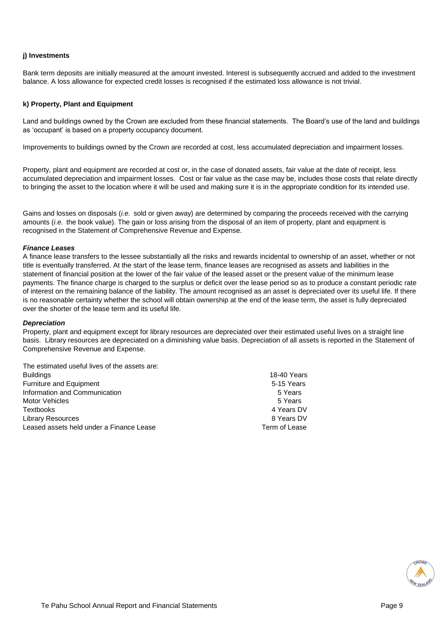#### **j) Investments**

Bank term deposits are initially measured at the amount invested. Interest is subsequently accrued and added to the investment balance. A loss allowance for expected credit losses is recognised if the estimated loss allowance is not trivial.

#### **k) Property, Plant and Equipment**

Land and buildings owned by the Crown are excluded from these financial statements. The Board's use of the land and buildings as 'occupant' is based on a property occupancy document.

Improvements to buildings owned by the Crown are recorded at cost, less accumulated depreciation and impairment losses.

Property, plant and equipment are recorded at cost or, in the case of donated assets, fair value at the date of receipt, less accumulated depreciation and impairment losses. Cost or fair value as the case may be, includes those costs that relate directly to bringing the asset to the location where it will be used and making sure it is in the appropriate condition for its intended use.

Gains and losses on disposals (*i.e.* sold or given away) are determined by comparing the proceeds received with the carrying amounts (*i.e.* the book value). The gain or loss arising from the disposal of an item of property, plant and equipment is recognised in the Statement of Comprehensive Revenue and Expense.

#### *Finance Leases*

A finance lease transfers to the lessee substantially all the risks and rewards incidental to ownership of an asset, whether or not title is eventually transferred. At the start of the lease term, finance leases are recognised as assets and liabilities in the statement of financial position at the lower of the fair value of the leased asset or the present value of the minimum lease payments. The finance charge is charged to the surplus or deficit over the lease period so as to produce a constant periodic rate of interest on the remaining balance of the liability. The amount recognised as an asset is depreciated over its useful life. If there is no reasonable certainty whether the school will obtain ownership at the end of the lease term, the asset is fully depreciated over the shorter of the lease term and its useful life.

#### *Depreciation*

Property, plant and equipment except for library resources are depreciated over their estimated useful lives on a straight line basis. Library resources are depreciated on a diminishing value basis. Depreciation of all assets is reported in the Statement of Comprehensive Revenue and Expense.

| The estimated useful lives of the assets are: |                |
|-----------------------------------------------|----------------|
| <b>Buildings</b>                              | 18-40 Years    |
| Furniture and Equipment                       | 5-15 Years     |
| Information and Communication                 | 5 Years        |
| <b>Motor Vehicles</b>                         | 5 Years        |
| <b>Textbooks</b>                              | 4 Years DV     |
| <b>Library Resources</b>                      | 8 Years DV     |
| Leased assets held under a Finance Lease      | Term of Lease. |

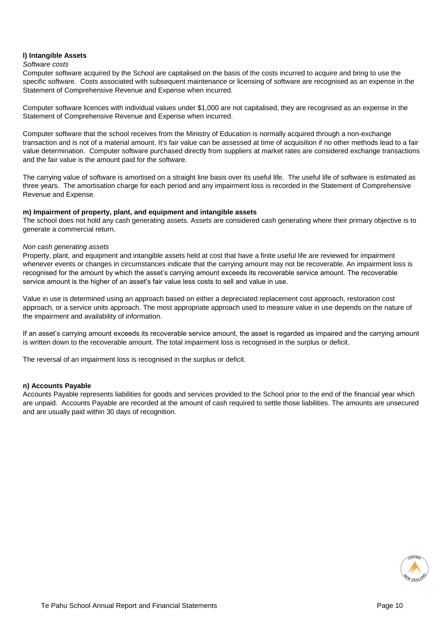#### **l) Intangible Assets**

#### *Software costs*

Computer software acquired by the School are capitalised on the basis of the costs incurred to acquire and bring to use the specific software. Costs associated with subsequent maintenance or licensing of software are recognised as an expense in the Statement of Comprehensive Revenue and Expense when incurred.

Computer software licences with individual values under \$1,000 are not capitalised, they are recognised as an expense in the Statement of Comprehensive Revenue and Expense when incurred.

Computer software that the school receives from the Ministry of Education is normally acquired through a non-exchange transaction and is not of a material amount. It's fair value can be assessed at time of acquisition if no other methods lead to a fair value determination. Computer software purchased directly from suppliers at market rates are considered exchange transactions and the fair value is the amount paid for the software.

The carrying value of software is amortised on a straight line basis over its useful life. The useful life of software is estimated as three years. The amortisation charge for each period and any impairment loss is recorded in the Statement of Comprehensive Revenue and Expense.

#### **m) Impairment of property, plant, and equipment and intangible assets**

The school does not hold any cash generating assets. Assets are considered cash generating where their primary objective is to generate a commercial return.

#### *Non cash generating assets*

Property, plant, and equipment and intangible assets held at cost that have a finite useful life are reviewed for impairment whenever events or changes in circumstances indicate that the carrying amount may not be recoverable. An impairment loss is recognised for the amount by which the asset's carrying amount exceeds its recoverable service amount. The recoverable service amount is the higher of an asset's fair value less costs to sell and value in use.

Value in use is determined using an approach based on either a depreciated replacement cost approach, restoration cost approach, or a service units approach. The most appropriate approach used to measure value in use depends on the nature of the impairment and availability of information.

If an asset's carrying amount exceeds its recoverable service amount, the asset is regarded as impaired and the carrying amount is written down to the recoverable amount. The total impairment loss is recognised in the surplus or deficit.

The reversal of an impairment loss is recognised in the surplus or deficit.

#### **n) Accounts Payable**

Accounts Payable represents liabilities for goods and services provided to the School prior to the end of the financial year which are unpaid. Accounts Payable are recorded at the amount of cash required to settle those liabilities. The amounts are unsecured and are usually paid within 30 days of recognition.

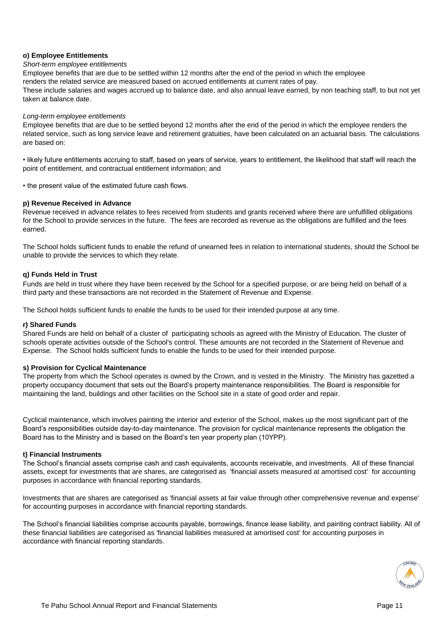#### **o) Employee Entitlements**

#### *Short-term employee entitlements*

Employee benefits that are due to be settled within 12 months after the end of the period in which the employee renders the related service are measured based on accrued entitlements at current rates of pay. These include salaries and wages accrued up to balance date, and also annual leave earned, by non teaching staff, to but not yet taken at balance date.

#### *Long-term employee entitlements*

Employee benefits that are due to be settled beyond 12 months after the end of the period in which the employee renders the related service, such as long service leave and retirement gratuities, have been calculated on an actuarial basis. The calculations are based on:

• likely future entitlements accruing to staff, based on years of service, years to entitlement, the likelihood that staff will reach the point of entitlement, and contractual entitlement information; and

• the present value of the estimated future cash flows.

#### **p) Revenue Received in Advance**

Revenue received in advance relates to fees received from students and grants received where there are unfulfilled obligations for the School to provide services in the future. The fees are recorded as revenue as the obligations are fulfilled and the fees earned.

The School holds sufficient funds to enable the refund of unearned fees in relation to international students, should the School be unable to provide the services to which they relate.

#### **q) Funds Held in Trust**

Funds are held in trust where they have been received by the School for a specified purpose, or are being held on behalf of a third party and these transactions are not recorded in the Statement of Revenue and Expense.

The School holds sufficient funds to enable the funds to be used for their intended purpose at any time.

#### **r) Shared Funds**

Shared Funds are held on behalf of a cluster of participating schools as agreed with the Ministry of Education. The cluster of schools operate activities outside of the School's control. These amounts are not recorded in the Statement of Revenue and Expense. The School holds sufficient funds to enable the funds to be used for their intended purpose.

#### **s) Provision for Cyclical Maintenance**

The property from which the School operates is owned by the Crown, and is vested in the Ministry. The Ministry has gazetted a property occupancy document that sets out the Board's property maintenance responsibilities. The Board is responsible for maintaining the land, buildings and other facilities on the School site in a state of good order and repair.

Cyclical maintenance, which involves painting the interior and exterior of the School, makes up the most significant part of the Board's responsibilities outside day-to-day maintenance. The provision for cyclical maintenance represents the obligation the Board has to the Ministry and is based on the Board's ten year property plan (10YPP).

#### **t) Financial Instruments**

The School's financial assets comprise cash and cash equivalents, accounts receivable, and investments. All of these financial assets, except for investments that are shares, are categorised as 'financial assets measured at amortised cost' for accounting purposes in accordance with financial reporting standards.

Investments that are shares are categorised as 'financial assets at fair value through other comprehensive revenue and expense' for accounting purposes in accordance with financial reporting standards.

The School's financial liabilities comprise accounts payable, borrowings, finance lease liability, and painting contract liability. All of these financial liabilities are categorised as 'financial liabilities measured at amortised cost' for accounting purposes in accordance with financial reporting standards.

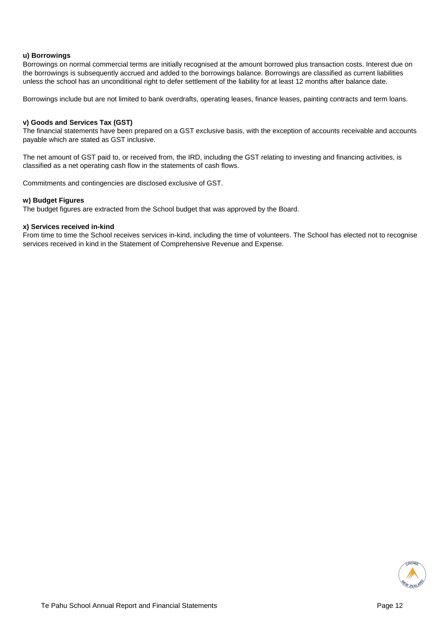#### **u) Borrowings**

Borrowings on normal commercial terms are initially recognised at the amount borrowed plus transaction costs. Interest due on the borrowings is subsequently accrued and added to the borrowings balance. Borrowings are classified as current liabilities unless the school has an unconditional right to defer settlement of the liability for at least 12 months after balance date.

Borrowings include but are not limited to bank overdrafts, operating leases, finance leases, painting contracts and term loans.

#### **v) Goods and Services Tax (GST)**

The financial statements have been prepared on a GST exclusive basis, with the exception of accounts receivable and accounts payable which are stated as GST inclusive.

The net amount of GST paid to, or received from, the IRD, including the GST relating to investing and financing activities, is classified as a net operating cash flow in the statements of cash flows.

Commitments and contingencies are disclosed exclusive of GST.

#### **w) Budget Figures**

The budget figures are extracted from the School budget that was approved by the Board.

#### **x) Services received in-kind**

From time to time the School receives services in-kind, including the time of volunteers. The School has elected not to recognise services received in kind in the Statement of Comprehensive Revenue and Expense.

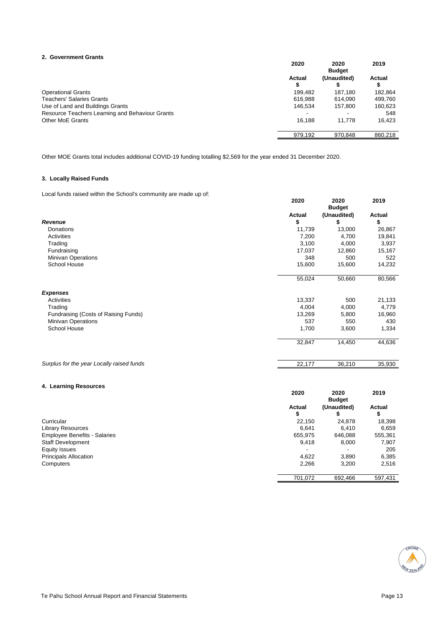#### **2. Government Grants**

| 2. OOVENIMENt ORINS                             | 2020    | 2020<br><b>Budget</b> | 2019    |
|-------------------------------------------------|---------|-----------------------|---------|
|                                                 | Actual  | (Unaudited)           | Actual  |
|                                                 |         |                       |         |
| <b>Operational Grants</b>                       | 199.482 | 187.180               | 182,864 |
| <b>Teachers' Salaries Grants</b>                | 616.988 | 614.090               | 499,760 |
| Use of Land and Buildings Grants                | 146.534 | 157.800               | 160,623 |
| Resource Teachers Learning and Behaviour Grants |         | ۰                     | 548     |
| <b>Other MoE Grants</b>                         | 16.188  | 11.778                | 16.423  |
|                                                 | 979,192 | 970,848               | 860,218 |
|                                                 |         |                       |         |

Other MOE Grants total includes additional COVID-19 funding totalling \$2,569 for the year ended 31 December 2020.

#### **3. Locally Raised Funds**

Local funds raised within the School's community are made up of:

|                                           | 2020          | 2020<br><b>Budget</b> | 2019   |
|-------------------------------------------|---------------|-----------------------|--------|
|                                           | <b>Actual</b> | (Unaudited)           | Actual |
| <b>Revenue</b>                            | \$            | \$                    | \$     |
| Donations                                 | 11,739        | 13,000                | 26,867 |
| Activities                                | 7,200         | 4,700                 | 19,841 |
| Trading                                   | 3,100         | 4,000                 | 3,937  |
| Fundraising                               | 17,037        | 12,860                | 15,167 |
| <b>Minivan Operations</b>                 | 348           | 500                   | 522    |
| School House                              | 15,600        | 15,600                | 14,232 |
|                                           | 55,024        | 50,660                | 80,566 |
| <b>Expenses</b>                           |               |                       |        |
| Activities                                | 13,337        | 500                   | 21,133 |
| Trading                                   | 4,004         | 4,000                 | 4,779  |
| Fundraising (Costs of Raising Funds)      | 13,269        | 5,800                 | 16,960 |
| <b>Minivan Operations</b>                 | 537           | 550                   | 430    |
| School House                              | 1,700         | 3,600                 | 1,334  |
|                                           | 32,847        | 14,450                | 44,636 |
| Surplus for the year Locally raised funds | 22,177        | 36,210                | 35,930 |

#### **4. Learning Resources**

|                                     | 2020    | 2020          | 2019    |
|-------------------------------------|---------|---------------|---------|
|                                     |         | <b>Budget</b> |         |
|                                     | Actual  | (Unaudited)   | Actual  |
|                                     | ъ       | Ð             | จ       |
| Curricular                          | 22,150  | 24,878        | 18,398  |
| <b>Library Resources</b>            | 6.641   | 6,410         | 6,659   |
| <b>Employee Benefits - Salaries</b> | 655,975 | 646,088       | 555,361 |
| <b>Staff Development</b>            | 9,418   | 8,000         | 7,907   |
| <b>Equity Issues</b>                |         | ۰             | 205     |
| <b>Principals Allocation</b>        | 4,622   | 3.890         | 6,385   |
| Computers                           | 2,266   | 3,200         | 2,516   |
|                                     | 701,072 | 692,466       | 597,431 |

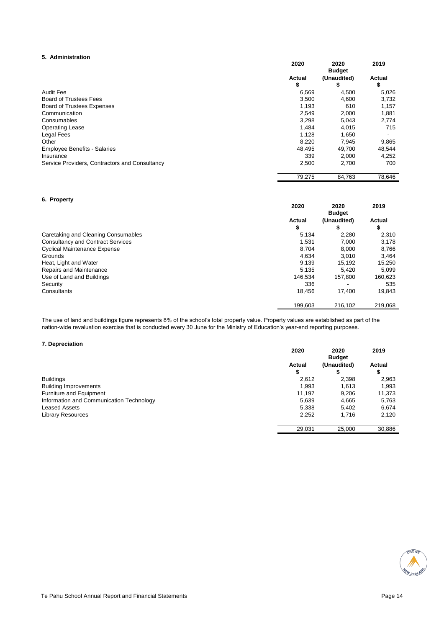#### **5. Administration**

|                                                | 2020   | 2020<br><b>Budget</b> | 2019   |
|------------------------------------------------|--------|-----------------------|--------|
|                                                | Actual | (Unaudited)           | Actual |
|                                                | \$     | \$                    | \$     |
| <b>Audit Fee</b>                               | 6,569  | 4,500                 | 5,026  |
| <b>Board of Trustees Fees</b>                  | 3,500  | 4,600                 | 3,732  |
| <b>Board of Trustees Expenses</b>              | 1.193  | 610                   | 1,157  |
| Communication                                  | 2,549  | 2,000                 | 1,881  |
| Consumables                                    | 3,298  | 5,043                 | 2,774  |
| <b>Operating Lease</b>                         | 1.484  | 4.015                 | 715    |
| Legal Fees                                     | 1,128  | 1,650                 |        |
| Other                                          | 8.220  | 7.945                 | 9,865  |
| <b>Employee Benefits - Salaries</b>            | 48,495 | 49,700                | 48,544 |
| Insurance                                      | 339    | 2,000                 | 4,252  |
| Service Providers, Contractors and Consultancy | 2,500  | 2,700                 | 700    |
|                                                | 79,275 | 84,763                | 78,646 |

#### **6. Property**

|                                          | 2020    | 2020<br><b>Budget</b> | 2019        |
|------------------------------------------|---------|-----------------------|-------------|
|                                          | Actual  | (Unaudited)<br>S      | Actual<br>S |
| Caretaking and Cleaning Consumables      | 5,134   | 2,280                 | 2,310       |
| <b>Consultancy and Contract Services</b> | 1,531   | 7.000                 | 3,178       |
| <b>Cyclical Maintenance Expense</b>      | 8.704   | 8.000                 | 8,766       |
| Grounds                                  | 4.634   | 3.010                 | 3.464       |
| Heat, Light and Water                    | 9,139   | 15,192                | 15,250      |
| Repairs and Maintenance                  | 5.135   | 5.420                 | 5,099       |
| Use of Land and Buildings                | 146.534 | 157.800               | 160,623     |
| Security                                 | 336     |                       | 535         |
| Consultants                              | 18.456  | 17.400                | 19,843      |
|                                          | 199,603 | 216,102               | 219,068     |

The use of land and buildings figure represents 8% of the school's total property value. Property values are established as part of the nation-wide revaluation exercise that is conducted every 30 June for the Ministry of Education's year-end reporting purposes.

#### **7. Depreciation**

|                                          | 2020         | 2020<br><b>Budget</b> | 2019         |
|------------------------------------------|--------------|-----------------------|--------------|
|                                          | Actual<br>\$ | (Unaudited)<br>ъ      | Actual<br>\$ |
| <b>Buildings</b>                         | 2,612        | 2,398                 | 2,963        |
| <b>Building Improvements</b>             | 1.993        | 1.613                 | 1,993        |
| Furniture and Equipment                  | 11.197       | 9,206                 | 11,373       |
| Information and Communication Technology | 5,639        | 4,665                 | 5,763        |
| <b>Leased Assets</b>                     | 5,338        | 5,402                 | 6,674        |
| <b>Library Resources</b>                 | 2,252        | 1,716                 | 2,120        |
|                                          | 29,031       | 25,000                | 30,886       |

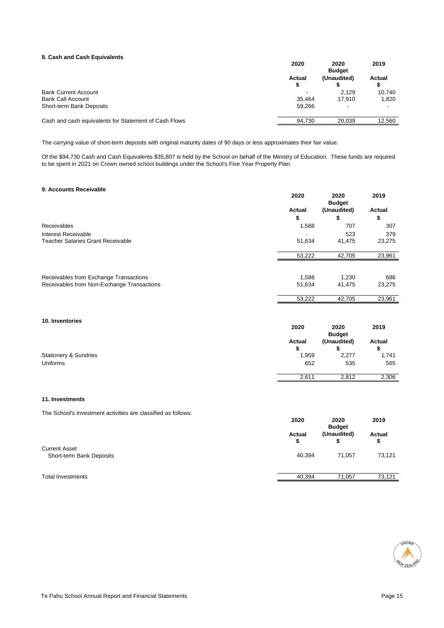#### **8. Cash and Cash Equivalents**

|                                                       | 2020   | 2020<br><b>Budget</b> | 2019   |
|-------------------------------------------------------|--------|-----------------------|--------|
|                                                       | Actual | (Unaudited)           | Actual |
|                                                       |        |                       | จ      |
| <b>Bank Current Account</b>                           |        | 2.129                 | 10.740 |
| <b>Bank Call Account</b>                              | 35.464 | 17.910                | 1.820  |
| Short-term Bank Deposits                              | 59.266 | -                     | -      |
| Cash and cash equivalents for Statement of Cash Flows | 94.730 | 20.039                | 12,560 |

The carrying value of short-term deposits with original maturity dates of 90 days or less approximates their fair value.

Of the \$94,730 Cash and Cash Equivalents \$35,807 is held by the School on behalf of the Ministry of Education. These funds are required to be spent in 2021 on Crown owned school buildings under the School's Five Year Property Plan.

#### **9. Accounts Receivable**

|                                            | 2020   | 2020<br><b>Budget</b> | 2019   |
|--------------------------------------------|--------|-----------------------|--------|
|                                            | Actual | (Unaudited)           | Actual |
|                                            |        | \$                    | \$     |
| Receivables                                | 1,588  | 707                   | 307    |
| Interest Receivable                        |        | 523                   | 379    |
| <b>Teacher Salaries Grant Receivable</b>   | 51,634 | 41,475                | 23,275 |
|                                            | 53,222 | 42,705                | 23,961 |
| Receivables from Exchange Transactions     | 1,588  | 1,230                 | 686    |
| Receivables from Non-Exchange Transactions | 51,634 | 41,475                | 23,275 |
|                                            | 53,222 | 42,705                | 23,961 |

#### **10. Inventories**

|                                  | 2020        | 2020<br><b>Budget</b> | 2019   |
|----------------------------------|-------------|-----------------------|--------|
|                                  | Actual<br>S | (Unaudited)           | Actual |
| <b>Stationery &amp; Sundries</b> | 1,959       | 2,277                 | 1,741  |
| Uniforms                         | 652         | 535                   | 565    |
|                                  | 2,611       | 2,812                 | 2,306  |

#### **11. Investments**

The School's investment activities are classified as follows:

|                                                  | 2020         | 2020<br><b>Budget</b> | 2019         |
|--------------------------------------------------|--------------|-----------------------|--------------|
|                                                  | Actual<br>\$ | (Unaudited)           | Actual<br>\$ |
| <b>Current Asset</b><br>Short-term Bank Deposits | 40,394       | 71.057                | 73,121       |
| <b>Total Investments</b>                         | 40,394       | 71,057                | 73,121       |

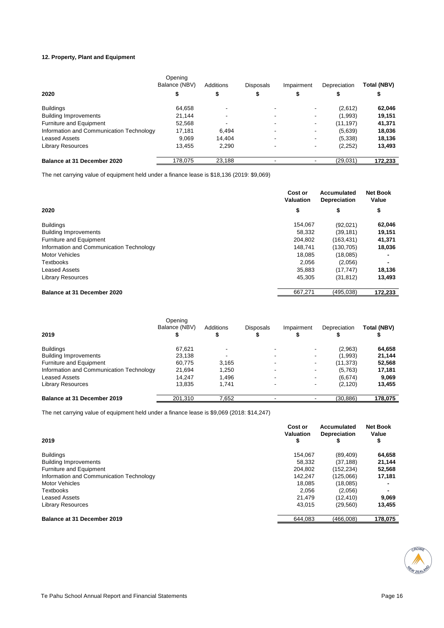#### **12. Property, Plant and Equipment**

|                                          | Opening<br>Balance (NBV) | Additions | Disposals | Impairment | Depreciation | Total (NBV) |
|------------------------------------------|--------------------------|-----------|-----------|------------|--------------|-------------|
| 2020                                     |                          | \$        | \$        |            |              |             |
| <b>Buildings</b>                         | 64,658                   | -         |           |            | (2,612)      | 62,046      |
| <b>Building Improvements</b>             | 21,144                   | -         |           |            | (1,993)      | 19,151      |
| Furniture and Equipment                  | 52,568                   |           |           | -          | (11, 197)    | 41,371      |
| Information and Communication Technology | 17,181                   | 6.494     |           |            | (5,639)      | 18,036      |
| Leased Assets                            | 9,069                    | 14.404    |           |            | (5,338)      | 18,136      |
| <b>Library Resources</b>                 | 13.455                   | 2.290     |           |            | (2, 252)     | 13,493      |
| Balance at 31 December 2020              | 178,075                  | 23,188    |           |            | (29, 031)    | 172,233     |

The net carrying value of equipment held under a finance lease is \$18,136 (2019: \$9,069)

|                                          | Cost or<br>Valuation | Accumulated<br><b>Depreciation</b> | <b>Net Book</b><br>Value |
|------------------------------------------|----------------------|------------------------------------|--------------------------|
| 2020                                     | \$                   | \$                                 | \$                       |
| <b>Buildings</b>                         | 154,067              | (92,021)                           | 62,046                   |
| <b>Building Improvements</b>             | 58,332               | (39, 181)                          | 19,151                   |
| <b>Furniture and Equipment</b>           | 204.802              | (163, 431)                         | 41,371                   |
| Information and Communication Technology | 148.741              | (130, 705)                         | 18,036                   |
| <b>Motor Vehicles</b>                    | 18,085               | (18,085)                           |                          |
| <b>Textbooks</b>                         | 2,056                | (2,056)                            | $\blacksquare$           |
| <b>Leased Assets</b>                     | 35,883               | (17, 747)                          | 18,136                   |
| <b>Library Resources</b>                 | 45.305               | (31, 812)                          | 13,493                   |
| Balance at 31 December 2020              | 667.271              | (495.038)                          | 172.233                  |

| 2019                                     | Opening<br>Balance (NBV) | Additions | <b>Disposals</b> | Impairment               | Depreciation | Total (NBV) |
|------------------------------------------|--------------------------|-----------|------------------|--------------------------|--------------|-------------|
| <b>Buildings</b>                         | 67,621                   |           |                  |                          | (2,963)      | 64,658      |
| <b>Building Improvements</b>             | 23.138                   |           |                  | -                        | (1,993)      | 21,144      |
| Furniture and Equipment                  | 60.775                   | 3,165     |                  | $\overline{\phantom{0}}$ | (11, 373)    | 52,568      |
| Information and Communication Technology | 21,694                   | 1,250     |                  | $\overline{\phantom{0}}$ | (5,763)      | 17,181      |
| <b>Leased Assets</b>                     | 14.247                   | 1.496     |                  | -                        | (6,674)      | 9.069       |
| <b>Library Resources</b>                 | 13.835                   | 1,741     |                  |                          | (2, 120)     | 13,455      |
| Balance at 31 December 2019              | 201.310                  | 7.652     |                  |                          | (30.886)     | 178,075     |

The net carrying value of equipment held under a finance lease is \$9,069 (2018: \$14,247)

| <b>Buildings</b><br>154.067<br>(89, 409)<br><b>Building Improvements</b><br>58.332<br>(37, 188)<br>Furniture and Equipment<br>204,802<br>(152,234)<br>Information and Communication Technology<br>142.247<br>(125,066)<br><b>Motor Vehicles</b><br>18.085<br>(18,085)<br>Textbooks<br>(2,056)<br>2.056<br>Leased Assets<br>21.479<br>(12.410) | <b>Net Book</b><br>Accumulated<br>Cost or<br><b>Valuation</b><br>Value<br><b>Depreciation</b><br>\$<br>Ð | 2019                     |
|-----------------------------------------------------------------------------------------------------------------------------------------------------------------------------------------------------------------------------------------------------------------------------------------------------------------------------------------------|----------------------------------------------------------------------------------------------------------|--------------------------|
|                                                                                                                                                                                                                                                                                                                                               | 64,658                                                                                                   |                          |
|                                                                                                                                                                                                                                                                                                                                               | 21,144                                                                                                   |                          |
|                                                                                                                                                                                                                                                                                                                                               | 52,568                                                                                                   |                          |
|                                                                                                                                                                                                                                                                                                                                               | 17,181                                                                                                   |                          |
|                                                                                                                                                                                                                                                                                                                                               |                                                                                                          |                          |
|                                                                                                                                                                                                                                                                                                                                               |                                                                                                          |                          |
|                                                                                                                                                                                                                                                                                                                                               | 9,069                                                                                                    |                          |
|                                                                                                                                                                                                                                                                                                                                               | 43.015<br>13,455<br>(29, 560)                                                                            | <b>Library Resources</b> |
| Balance at 31 December 2019<br>644.083<br>(466.008)                                                                                                                                                                                                                                                                                           | 178,075                                                                                                  |                          |

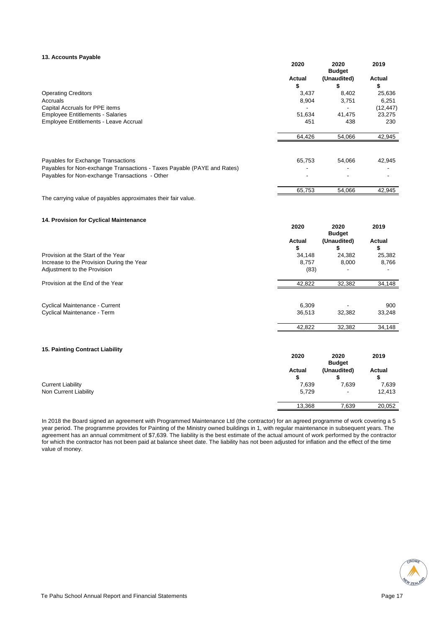#### **13. Accounts Payable**

|                                                                         | 2020   | 2020<br><b>Budget</b> | 2019      |
|-------------------------------------------------------------------------|--------|-----------------------|-----------|
|                                                                         | Actual | (Unaudited)           | Actual    |
|                                                                         | P      | S                     | S         |
| <b>Operating Creditors</b>                                              | 3,437  | 8,402                 | 25,636    |
| Accruals                                                                | 8,904  | 3,751                 | 6,251     |
| Capital Accruals for PPE items                                          |        |                       | (12, 447) |
| <b>Employee Entitlements - Salaries</b>                                 | 51,634 | 41,475                | 23,275    |
| <b>Employee Entitlements - Leave Accrual</b>                            | 451    | 438                   | 230       |
|                                                                         | 64,426 | 54,066                | 42,945    |
|                                                                         |        |                       |           |
| Payables for Exchange Transactions                                      | 65,753 | 54,066                | 42,945    |
| Payables for Non-exchange Transactions - Taxes Payable (PAYE and Rates) |        |                       |           |
| Payables for Non-exchange Transactions - Other                          |        |                       |           |
|                                                                         | 65,753 | 54,066                | 42,945    |

The carrying value of payables approximates their fair value.

#### **14. Provision for Cyclical Maintenance**

|                                           | 2020          | 2020<br><b>Budget</b> | 2019   |
|-------------------------------------------|---------------|-----------------------|--------|
|                                           | Actual        | (Unaudited)           | Actual |
|                                           | S             | \$                    | \$     |
| Provision at the Start of the Year        | 34,148        | 24,382                | 25,382 |
| Increase to the Provision During the Year | 8,757         | 8,000                 | 8,766  |
| Adjustment to the Provision               | (83)          |                       |        |
| Provision at the End of the Year          | 42,822        | 32,382                | 34,148 |
|                                           |               |                       |        |
| Cyclical Maintenance - Current            | 6,309         |                       | 900    |
| Cyclical Maintenance - Term               | 36,513        | 32,382                | 33,248 |
|                                           | 42,822        | 32,382                | 34,148 |
| 15. Painting Contract Liability           |               |                       |        |
|                                           | 2020          | 2020<br><b>Budget</b> | 2019   |
|                                           | <b>Actual</b> | (Unaudited)           | Actual |
|                                           | S             | S                     | \$     |
| <b>Current Liability</b>                  | 7,639         | 7,639                 | 7,639  |
| Non Current Liability                     | 5,729         |                       | 12,413 |

In 2018 the Board signed an agreement with Programmed Maintenance Ltd (the contractor) for an agreed programme of work covering a 5 year period. The programme provides for Painting of the Ministry owned buildings in 1, with regular maintenance in subsequent years. The agreement has an annual commitment of \$7,639. The liability is the best estimate of the actual amount of work performed by the contractor for which the contractor has not been paid at balance sheet date. The liability has not been adjusted for inflation and the effect of the time value of money.



13,368 7,639 20,052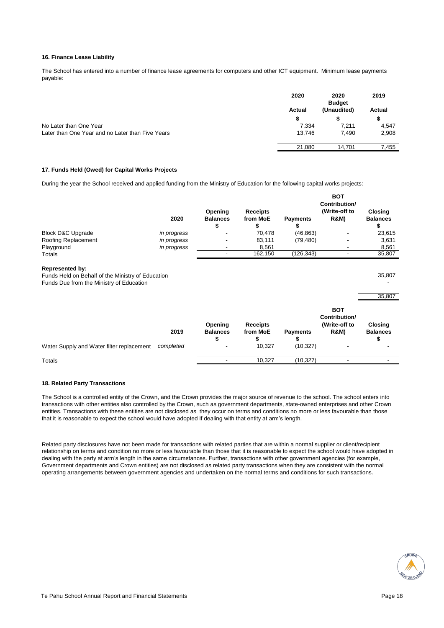#### **16. Finance Lease Liability**

The School has entered into a number of finance lease agreements for computers and other ICT equipment. Minimum lease payments payable:

| 2020   | 2020<br><b>Budget</b> | 2019   |
|--------|-----------------------|--------|
| Actual | (Unaudited)           | Actual |
|        |                       | S      |
| 7,334  | 7,211                 | 4,547  |
| 13.746 | 7.490                 | 2,908  |
| 21,080 | 14.701                | 7.455  |
|        |                       |        |

**BOT** 

#### **17. Funds Held (Owed) for Capital Works Projects**

During the year the School received and applied funding from the Ministry of Education for the following capital works projects:

|                                                                                                                         | 2020        | Opening<br><b>Balances</b><br>S | Receipts<br>from MoE<br>S | <b>Payments</b><br>ъ | Contribution/<br>(Write-off to<br><b>R&amp;M)</b>               | <b>Closing</b><br><b>Balances</b> |
|-------------------------------------------------------------------------------------------------------------------------|-------------|---------------------------------|---------------------------|----------------------|-----------------------------------------------------------------|-----------------------------------|
| <b>Block D&amp;C Upgrade</b>                                                                                            | in progress |                                 | 70,478                    | (46, 863)            |                                                                 | 23,615                            |
| Roofing Replacement                                                                                                     | in progress |                                 | 83,111                    | (79, 480)            |                                                                 | 3,631                             |
| Playground                                                                                                              | in progress |                                 | 8,561                     |                      |                                                                 | 8,561                             |
| Totals                                                                                                                  |             |                                 | 162,150                   | (126, 343)           |                                                                 | 35,807                            |
| <b>Represented by:</b><br>Funds Held on Behalf of the Ministry of Education<br>Funds Due from the Ministry of Education |             |                                 |                           |                      |                                                                 | 35,807<br>35,807                  |
|                                                                                                                         | 2019        | Opening<br><b>Balances</b>      | Receipts<br>from MoE      | <b>Payments</b>      | <b>BOT</b><br>Contribution/<br>(Write-off to<br><b>R&amp;M)</b> | Closing<br><b>Balances</b>        |
| Water Supply and Water filter replacement                                                                               | completed   |                                 | 10,327                    | (10, 327)            |                                                                 |                                   |
| Totals                                                                                                                  |             |                                 | 10,327                    | (10, 327)            |                                                                 |                                   |

#### **18. Related Party Transactions**

The School is a controlled entity of the Crown, and the Crown provides the major source of revenue to the school. The school enters into transactions with other entities also controlled by the Crown, such as government departments, state-owned enterprises and other Crown entities. Transactions with these entities are not disclosed as they occur on terms and conditions no more or less favourable than those that it is reasonable to expect the school would have adopted if dealing with that entity at arm's length.

Related party disclosures have not been made for transactions with related parties that are within a normal supplier or client/recipient relationship on terms and condition no more or less favourable than those that it is reasonable to expect the school would have adopted in dealing with the party at arm's length in the same circumstances. Further, transactions with other government agencies (for example, Government departments and Crown entities) are not disclosed as related party transactions when they are consistent with the normal operating arrangements between government agencies and undertaken on the normal terms and conditions for such transactions.

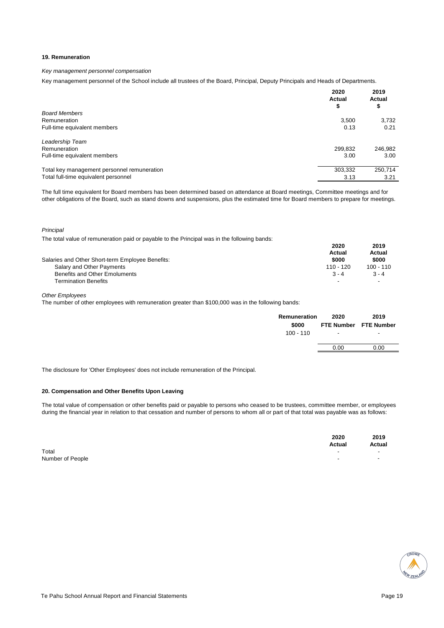#### **19. Remuneration**

*Key management personnel compensation*

Key management personnel of the School include all trustees of the Board, Principal, Deputy Principals and Heads of Departments.

|                                             | 2020<br>Actual<br>a<br>Ф | 2019<br>Actual<br>\$ |
|---------------------------------------------|--------------------------|----------------------|
| <b>Board Members</b>                        |                          |                      |
| Remuneration                                | 3,500                    | 3,732                |
| Full-time equivalent members                | 0.13                     | 0.21                 |
| Leadership Team                             |                          |                      |
| Remuneration                                | 299,832                  | 246,982              |
| Full-time equivalent members                | 3.00                     | 3.00                 |
| Total key management personnel remuneration | 303,332                  | 250,714              |
| Total full-time equivalent personnel        | 3.13                     | 3.21                 |

The full time equivalent for Board members has been determined based on attendance at Board meetings, Committee meetings and for other obligations of the Board, such as stand downs and suspensions, plus the estimated time for Board members to prepare for meetings.

*Principal* 

The total value of remuneration paid or payable to the Principal was in the following bands:

|                                                  | 2020        | 2019        |
|--------------------------------------------------|-------------|-------------|
|                                                  | Actual      | Actual      |
| Salaries and Other Short-term Employee Benefits: | \$000       | \$000       |
| Salary and Other Payments                        | $110 - 120$ | $100 - 110$ |
| <b>Benefits and Other Emoluments</b>             | $3 - 4$     | $3 - 4$     |
| <b>Termination Benefits</b>                      |             |             |

*Other Employees*

The number of other employees with remuneration greater than \$100,000 was in the following bands:

| Remuneration<br>\$000 | 2020                     | 2019<br>FTE Number FTE Number |
|-----------------------|--------------------------|-------------------------------|
| 100 - 110             | $\overline{\phantom{a}}$ | $\overline{\phantom{a}}$      |
|                       | 0.00                     | 0.00                          |

The disclosure for 'Other Employees' does not include remuneration of the Principal.

#### **20. Compensation and Other Benefits Upon Leaving**

The total value of compensation or other benefits paid or payable to persons who ceased to be trustees, committee member, or employees during the financial year in relation to that cessation and number of persons to whom all or part of that total was payable was as follows:

|                  | 2020                     | 2019   |
|------------------|--------------------------|--------|
|                  | Actual                   | Actual |
| Total            | $\overline{\phantom{0}}$ |        |
| Number of People | $\overline{\phantom{0}}$ |        |

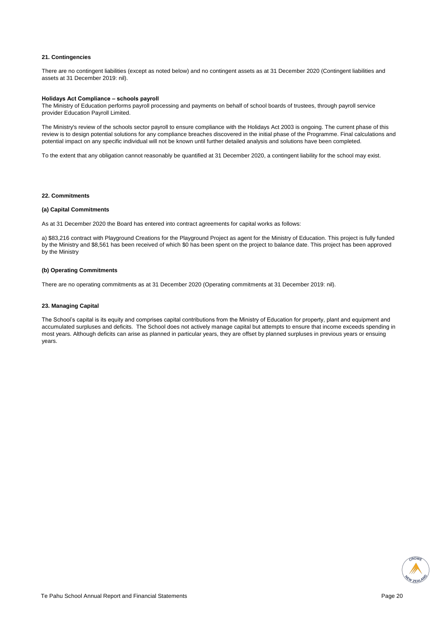#### **21. Contingencies**

There are no contingent liabilities (except as noted below) and no contingent assets as at 31 December 2020 (Contingent liabilities and assets at 31 December 2019: nil).

#### **Holidays Act Compliance – schools payroll**

The Ministry of Education performs payroll processing and payments on behalf of school boards of trustees, through payroll service provider Education Payroll Limited.

The Ministry's review of the schools sector payroll to ensure compliance with the Holidays Act 2003 is ongoing. The current phase of this review is to design potential solutions for any compliance breaches discovered in the initial phase of the Programme. Final calculations and potential impact on any specific individual will not be known until further detailed analysis and solutions have been completed.

To the extent that any obligation cannot reasonably be quantified at 31 December 2020, a contingent liability for the school may exist.

#### **22. Commitments**

#### **(a) Capital Commitments**

As at 31 December 2020 the Board has entered into contract agreements for capital works as follows:

a) \$83,216 contract with Playground Creations for the Playground Project as agent for the Ministry of Education. This project is fully funded by the Ministry and \$8,561 has been received of which \$0 has been spent on the project to balance date. This project has been approved by the Ministry

#### **(b) Operating Commitments**

There are no operating commitments as at 31 December 2020 (Operating commitments at 31 December 2019: nil).

#### **23. Managing Capital**

The School's capital is its equity and comprises capital contributions from the Ministry of Education for property, plant and equipment and accumulated surpluses and deficits. The School does not actively manage capital but attempts to ensure that income exceeds spending in most years. Although deficits can arise as planned in particular years, they are offset by planned surpluses in previous years or ensuing years.

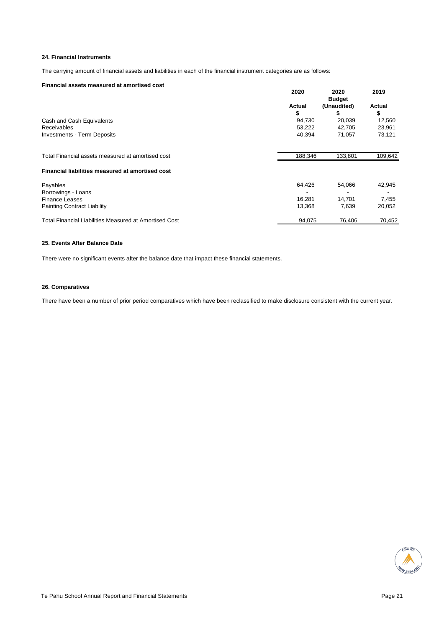#### **24. Financial Instruments**

The carrying amount of financial assets and liabilities in each of the financial instrument categories are as follows:

#### **Financial assets measured at amortised cost**

|                                                               | 2020    | 2020<br><b>Budget</b> | 2019    |
|---------------------------------------------------------------|---------|-----------------------|---------|
|                                                               | Actual  | (Unaudited)           | Actual  |
|                                                               | \$      | \$                    | \$      |
| Cash and Cash Equivalents                                     | 94.730  | 20,039                | 12,560  |
| Receivables                                                   | 53.222  | 42.705                | 23,961  |
| <b>Investments - Term Deposits</b>                            | 40.394  | 71.057                | 73,121  |
| Total Financial assets measured at amortised cost             | 188,346 | 133,801               | 109,642 |
| Financial liabilities measured at amortised cost              |         |                       |         |
| Payables                                                      | 64,426  | 54,066                | 42,945  |
| Borrowings - Loans                                            |         |                       |         |
| <b>Finance Leases</b>                                         | 16.281  | 14.701                | 7,455   |
| <b>Painting Contract Liability</b>                            | 13,368  | 7.639                 | 20,052  |
| <b>Total Financial Liabilities Measured at Amortised Cost</b> | 94.075  | 76,406                | 70,452  |

#### **25. Events After Balance Date**

There were no significant events after the balance date that impact these financial statements.

#### **26. Comparatives**

There have been a number of prior period comparatives which have been reclassified to make disclosure consistent with the current year.

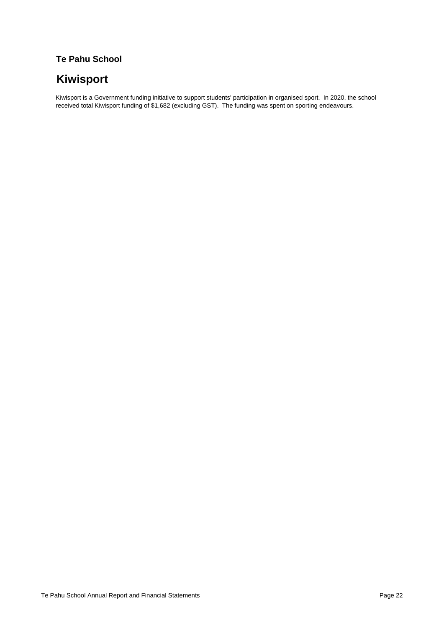### **Te Pahu School**

## **Kiwisport**

Kiwisport is a Government funding initiative to support students' participation in organised sport. In 2020, the school received total Kiwisport funding of \$1,682 (excluding GST). The funding was spent on sporting endeavours.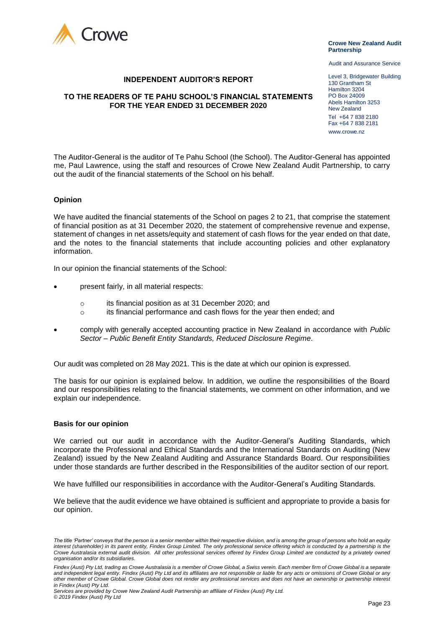

**Crowe New Zealand Audit Partnership**

Audit and Assurance Service

#### **INDEPENDENT AUDITOR'S REPORT**

**TO THE READERS OF TE PAHU SCHOOL'S FINANCIAL STATEMENTS FOR THE YEAR ENDED 31 DECEMBER 2020**

Level 3, Bridgewater Building 130 Grantham St Hamilton 3204 PO Box 24009 Abels Hamilton 3253 New Zealand Tel +64 7 838 2180 Fax +64 7 838 2181 www.crowe.nz

The Auditor-General is the auditor of Te Pahu School (the School). The Auditor-General has appointed me, Paul Lawrence, using the staff and resources of Crowe New Zealand Audit Partnership, to carry out the audit of the financial statements of the School on his behalf.

#### **Opinion**

We have audited the financial statements of the School on pages 2 to 21, that comprise the statement of financial position as at 31 December 2020, the statement of comprehensive revenue and expense, statement of changes in net assets/equity and statement of cash flows for the year ended on that date, and the notes to the financial statements that include accounting policies and other explanatory information.

In our opinion the financial statements of the School:

- present fairly, in all material respects:
	- o its financial position as at 31 December 2020; and
	- $\circ$  its financial performance and cash flows for the year then ended; and
- comply with generally accepted accounting practice in New Zealand in accordance with *Public Sector – Public Benefit Entity Standards, Reduced Disclosure Regime*.

Our audit was completed on 28 May 2021. This is the date at which our opinion is expressed.

The basis for our opinion is explained below. In addition, we outline the responsibilities of the Board and our responsibilities relating to the financial statements, we comment on other information, and we explain our independence.

#### **Basis for our opinion**

We carried out our audit in accordance with the Auditor-General's Auditing Standards, which incorporate the Professional and Ethical Standards and the International Standards on Auditing (New Zealand) issued by the New Zealand Auditing and Assurance Standards Board. Our responsibilities under those standards are further described in the Responsibilities of the auditor section of our report.

We have fulfilled our responsibilities in accordance with the Auditor-General's Auditing Standards.

We believe that the audit evidence we have obtained is sufficient and appropriate to provide a basis for our opinion.

*The title 'Partner' conveys that the person is a senior member within their respective division, and is among the group of persons who hold an equity*  interest (shareholder) in its parent entity, Findex Group Limited. The only professional service offering which is conducted by a partnership is the *Crowe Australasia external audit division. All other professional services offered by Findex Group Limited are conducted by a privately owned organisation and/or its subsidiaries.* 

*Findex (Aust) Pty Ltd, trading as Crowe Australasia is a member of Crowe Global, a Swiss verein. Each member firm of Crowe Global is a separate and independent legal entity. Findex (Aust) Pty Ltd and its affiliates are not responsible or liable for any acts or omissions of Crowe Global or any other member of Crowe Global. Crowe Global does not render any professional services and does not have an ownership or partnership interest in Findex (Aust) Pty Ltd.*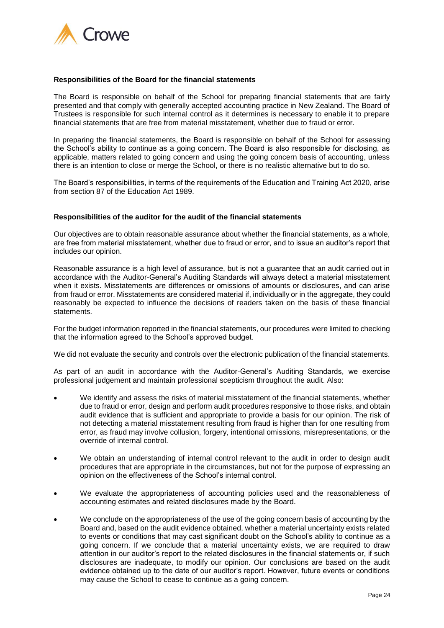

#### **Responsibilities of the Board for the financial statements**

The Board is responsible on behalf of the School for preparing financial statements that are fairly presented and that comply with generally accepted accounting practice in New Zealand. The Board of Trustees is responsible for such internal control as it determines is necessary to enable it to prepare financial statements that are free from material misstatement, whether due to fraud or error.

In preparing the financial statements, the Board is responsible on behalf of the School for assessing the School's ability to continue as a going concern. The Board is also responsible for disclosing, as applicable, matters related to going concern and using the going concern basis of accounting, unless there is an intention to close or merge the School, or there is no realistic alternative but to do so.

The Board's responsibilities, in terms of the requirements of the Education and Training Act 2020, arise from section 87 of the Education Act 1989.

#### **Responsibilities of the auditor for the audit of the financial statements**

Our objectives are to obtain reasonable assurance about whether the financial statements, as a whole, are free from material misstatement, whether due to fraud or error, and to issue an auditor's report that includes our opinion.

Reasonable assurance is a high level of assurance, but is not a guarantee that an audit carried out in accordance with the Auditor-General's Auditing Standards will always detect a material misstatement when it exists. Misstatements are differences or omissions of amounts or disclosures, and can arise from fraud or error. Misstatements are considered material if, individually or in the aggregate, they could reasonably be expected to influence the decisions of readers taken on the basis of these financial statements.

For the budget information reported in the financial statements, our procedures were limited to checking that the information agreed to the School's approved budget.

We did not evaluate the security and controls over the electronic publication of the financial statements.

As part of an audit in accordance with the Auditor-General's Auditing Standards, we exercise professional judgement and maintain professional scepticism throughout the audit. Also:

- We identify and assess the risks of material misstatement of the financial statements, whether due to fraud or error, design and perform audit procedures responsive to those risks, and obtain audit evidence that is sufficient and appropriate to provide a basis for our opinion. The risk of not detecting a material misstatement resulting from fraud is higher than for one resulting from error, as fraud may involve collusion, forgery, intentional omissions, misrepresentations, or the override of internal control.
- We obtain an understanding of internal control relevant to the audit in order to design audit procedures that are appropriate in the circumstances, but not for the purpose of expressing an opinion on the effectiveness of the School's internal control.
- We evaluate the appropriateness of accounting policies used and the reasonableness of accounting estimates and related disclosures made by the Board.
- We conclude on the appropriateness of the use of the going concern basis of accounting by the Board and, based on the audit evidence obtained, whether a material uncertainty exists related to events or conditions that may cast significant doubt on the School's ability to continue as a going concern. If we conclude that a material uncertainty exists, we are required to draw attention in our auditor's report to the related disclosures in the financial statements or, if such disclosures are inadequate, to modify our opinion. Our conclusions are based on the audit evidence obtained up to the date of our auditor's report. However, future events or conditions may cause the School to cease to continue as a going concern.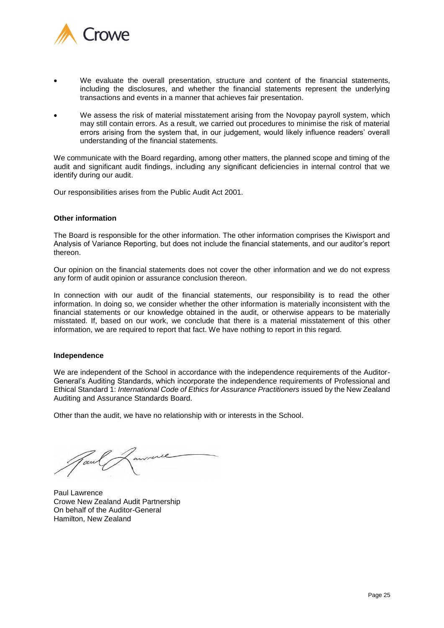

- We evaluate the overall presentation, structure and content of the financial statements, including the disclosures, and whether the financial statements represent the underlying transactions and events in a manner that achieves fair presentation.
- We assess the risk of material misstatement arising from the Novopay payroll system, which may still contain errors. As a result, we carried out procedures to minimise the risk of material errors arising from the system that, in our judgement, would likely influence readers' overall understanding of the financial statements.

We communicate with the Board regarding, among other matters, the planned scope and timing of the audit and significant audit findings, including any significant deficiencies in internal control that we identify during our audit.

Our responsibilities arises from the Public Audit Act 2001.

#### **Other information**

The Board is responsible for the other information. The other information comprises the Kiwisport and Analysis of Variance Reporting, but does not include the financial statements, and our auditor's report thereon.

Our opinion on the financial statements does not cover the other information and we do not express any form of audit opinion or assurance conclusion thereon.

In connection with our audit of the financial statements, our responsibility is to read the other information. In doing so, we consider whether the other information is materially inconsistent with the financial statements or our knowledge obtained in the audit, or otherwise appears to be materially misstated. If, based on our work, we conclude that there is a material misstatement of this other information, we are required to report that fact. We have nothing to report in this regard.

#### **Independence**

We are independent of the School in accordance with the independence requirements of the Auditor-General's Auditing Standards, which incorporate the independence requirements of Professional and Ethical Standard 1: *International Code of Ethics for Assurance Practitioners* issued by the New Zealand Auditing and Assurance Standards Board.

Other than the audit, we have no relationship with or interests in the School.

Paul Lawrence Crowe New Zealand Audit Partnership On behalf of the Auditor-General Hamilton, New Zealand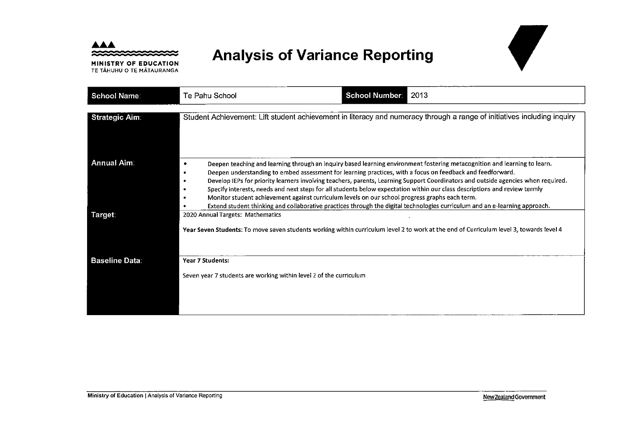

MINISTRY OF EDUCATION TE TĂHUHU O TE MÂTAURANGA

≈

**Analysis of Variance Reporting** 



| School Name:          | Te Pahu School                                                                                                                                                                                                                                                                     | School Number: 2013 |                                                                                                                                                                                                                                                                |
|-----------------------|------------------------------------------------------------------------------------------------------------------------------------------------------------------------------------------------------------------------------------------------------------------------------------|---------------------|----------------------------------------------------------------------------------------------------------------------------------------------------------------------------------------------------------------------------------------------------------------|
| <b>Strategic Aim:</b> |                                                                                                                                                                                                                                                                                    |                     | Student Achievement: Lift student achievement in literacy and numeracy through a range of initiatives including inquiry                                                                                                                                        |
| <b>Annual Aim:</b>    | Deepen understanding to embed assessment for learning practices, with a focus on feedback and feedforward.<br>Specify interests, needs and next steps for all students below expectation within our class descriptions and review termly                                           |                     | Deepen teaching and learning through an inquiry based learning environment fostering metacognition and learning to learn.<br>Develop IEPs for priority learners involving teachers, parents, Learning Support Coordinators and outside agencies when required. |
| Target:               | Monitor student achievement against curriculum levels on our school progress graphs each term.<br>٠<br>2020 Annual Targets: Mathematics<br>Year Seven Students: To move seven students working within curriculum level 2 to work at the end of Curriculum level 3, towards level 4 |                     | Extend student thinking and collaborative practices through the digital technologies curriculum and an e-learning approach.                                                                                                                                    |
| <b>Baseline Data:</b> | Year 7 Students:<br>Seven year 7 students are working within level 2 of the curriculum                                                                                                                                                                                             |                     |                                                                                                                                                                                                                                                                |
|                       |                                                                                                                                                                                                                                                                                    |                     |                                                                                                                                                                                                                                                                |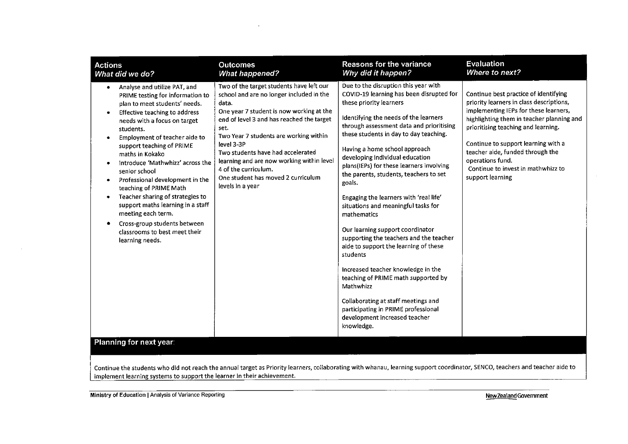| <b>Actions</b><br>What did we do?                                                                                                                                                                                                                                                                                                                                                                                                                                                                                                                                                                                                                   | <b>Outcomes</b><br><b>What happened?</b>                                                                                                                                                                                                                                                                                                                                                                                   | <b>Reasons for the variance</b><br>Why did it happen?                                                                                                                                                                                                                                                                                                                                                                                                                                                                                                                                                                                                                                                                                                                                                                                                                     | <b>Evaluation</b><br>Where to next?                                                                                                                                                                                                                                                                                                                                     |
|-----------------------------------------------------------------------------------------------------------------------------------------------------------------------------------------------------------------------------------------------------------------------------------------------------------------------------------------------------------------------------------------------------------------------------------------------------------------------------------------------------------------------------------------------------------------------------------------------------------------------------------------------------|----------------------------------------------------------------------------------------------------------------------------------------------------------------------------------------------------------------------------------------------------------------------------------------------------------------------------------------------------------------------------------------------------------------------------|---------------------------------------------------------------------------------------------------------------------------------------------------------------------------------------------------------------------------------------------------------------------------------------------------------------------------------------------------------------------------------------------------------------------------------------------------------------------------------------------------------------------------------------------------------------------------------------------------------------------------------------------------------------------------------------------------------------------------------------------------------------------------------------------------------------------------------------------------------------------------|-------------------------------------------------------------------------------------------------------------------------------------------------------------------------------------------------------------------------------------------------------------------------------------------------------------------------------------------------------------------------|
| Analyse and utilize PAT, and<br>$\bullet$<br>PRIME testing for information to<br>plan to meet students' needs.<br>Effective teaching to address<br>٠<br>needs with a focus on target<br>students.<br>Employment of teacher aide to<br>٠<br>support teaching of PRIME<br>maths in Kokako<br>Introduce 'Mathwhizz' across the<br>٠<br>senior school<br>Professional development in the<br>٠<br>teaching of PRIME Math<br>Teacher sharing of strategies to<br>$\bullet$<br>support maths learning in a staff<br>meeting each term.<br>Cross-group students between<br>٠<br>classrooms to best meet their<br>learning needs.<br>Planning for next year: | Two of the target students have left our<br>school and are no longer included in the<br>data.<br>One year 7 student is now working at the<br>end of level 3 and has reached the target<br>set.<br>Two Year 7 students are working within<br>level 3-3P<br>Two students have had accelerated<br>learning and are now working within level<br>4 of the curriculum.<br>One student has moved 2 curriculum<br>levels in a year | Due to the disruption this year with<br>COVID-19 learning has been disrupted for<br>these priority learners<br>Identifying the needs of the learners<br>through assessment data and prioritising<br>these students in day to day teaching.<br>Having a home school approach<br>developing individual education<br>plans(IEPs) for these learners involving<br>the parents, students, teachers to set<br>goals.<br>Engaging the learners with 'real life'<br>situations and meaningful tasks for<br>mathematics<br>Our learning support coordinator<br>supporting the teachers and the teacher<br>aide to support the learning of these<br>students<br>Increased teacher knowledge in the<br>teaching of PRIME math supported by<br>Mathwhizz<br>Collaborating at staff meetings and<br>participating in PRIME professional<br>development increased teacher<br>knowledge. | Continue best practice of identifying<br>priority learners in class descriptions,<br>implementing IEPs for these learners,<br>highlighting them in teacher planning and<br>prioritising teaching and learning.<br>Continue to support learning with a<br>teacher aide, funded through the<br>operations fund.<br>Continue to invest in mathwhizz to<br>support learning |
|                                                                                                                                                                                                                                                                                                                                                                                                                                                                                                                                                                                                                                                     |                                                                                                                                                                                                                                                                                                                                                                                                                            | Continue the students who did not reach the annual target as Priority learners, collaborating with whanau, learning support coordinator, SENCO, teachers and teacher aide to                                                                                                                                                                                                                                                                                                                                                                                                                                                                                                                                                                                                                                                                                              |                                                                                                                                                                                                                                                                                                                                                                         |

Ministry of Education | Analysis of Variance Reporting

implement learning systems to support the learner in their achievement.

New Zealand Government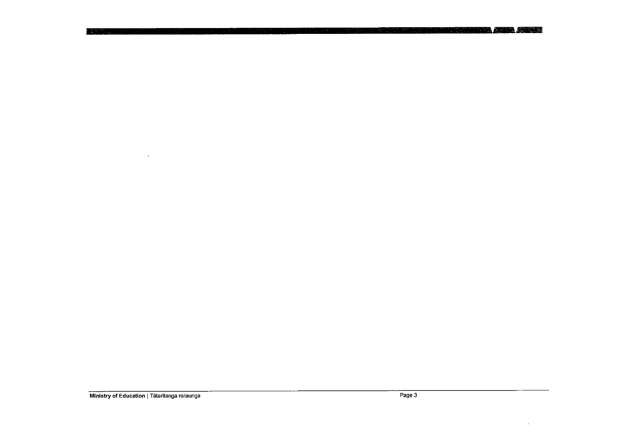$\mathcal{L}^{\pm}$ 

e de partido

**THE REAL PROPERTY OF A PROPERTY** 

 $\sim 10^{-1}$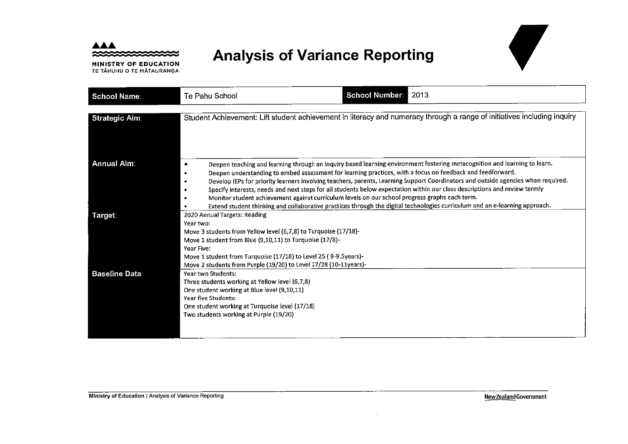**AA** 

MINISTRY OF EDUCATION TE TÂHUHU O TE MÂTAURANGA

## **Analysis of Variance Reporting**



| <b>School Name:</b>   | School Number:<br>2013<br>Te Pahu School                                                                                                                                                                                                                                                                                                                                                                                                                                                                                                                                                                                                                                                                                                    |
|-----------------------|---------------------------------------------------------------------------------------------------------------------------------------------------------------------------------------------------------------------------------------------------------------------------------------------------------------------------------------------------------------------------------------------------------------------------------------------------------------------------------------------------------------------------------------------------------------------------------------------------------------------------------------------------------------------------------------------------------------------------------------------|
| <b>Strategic Aim:</b> | Student Achievement: Lift student achievement in literacy and numeracy through a range of initiatives including inquiry                                                                                                                                                                                                                                                                                                                                                                                                                                                                                                                                                                                                                     |
| <b>Annual Aim:</b>    | Deepen teaching and learning through an inquiry based learning environment fostering metacognition and learning to learn.<br>Deepen understanding to embed assessment for learning practices, with a focus on feedback and feedforward.<br>Develop IEPs for priority learners involving teachers, parents, Learning Support Coordinators and outside agencies when required.<br>Specify interests, needs and next steps for all students below expectation within our class descriptions and review termly<br>Monitor student achievement against curriculum levels on our school progress graphs each term.<br>Extend student thinking and collaborative practices through the digital technologies curriculum and an e-learning approach. |
| Target:               | 2020 Annual Targets: Reading<br>Year two:<br>Move 3 students from Yellow level (6,7,8) to Turquoise (17/18)-<br>Move 1 student from Blue $(9,10,11)$ to Turquoise $(17/8)$ -<br>Year Five:<br>Move 1 student from Turquoise (17/18) to Level 25 (9-9.5years)-<br>Move 2 students from Purple (19/20) to Level 27/28 (10-11years)-                                                                                                                                                                                                                                                                                                                                                                                                           |
| <b>Baseline Data</b>  | Year two Students:<br>Three students working at Yellow level (6,7,8)<br>One student working at Blue level (9,10,11)<br>Year five Students:<br>One student working at Turquoise level (17/18)<br>Two students working at Purple (19/20)                                                                                                                                                                                                                                                                                                                                                                                                                                                                                                      |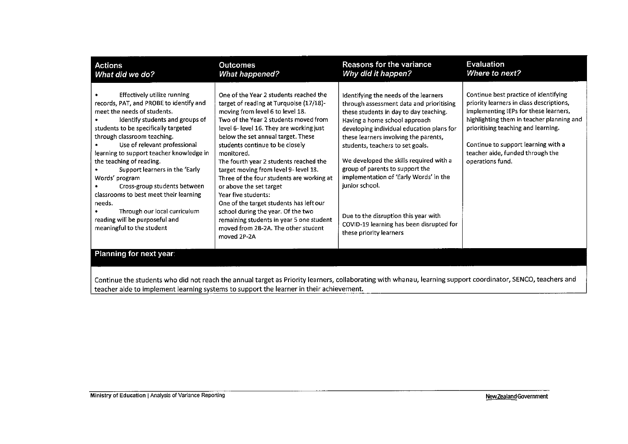| <b>Actions</b><br>What did we do?                                                                                                                                                                                                                                                                                                                                                                                                                                                                                                                                                                       | <b>Outcomes</b><br><b>What happened?</b>                                                                                                                                                                                                                                                                                                                                                                                                                                                                                                                                                                                                                              | <b>Reasons for the variance</b><br>Why did it happen?                                                                                                                                                                                                                                                                                                                                                                                                                                                                                           | <b>Evaluation</b><br>Where to next?                                                                                                                                                                                                                                                                           |
|---------------------------------------------------------------------------------------------------------------------------------------------------------------------------------------------------------------------------------------------------------------------------------------------------------------------------------------------------------------------------------------------------------------------------------------------------------------------------------------------------------------------------------------------------------------------------------------------------------|-----------------------------------------------------------------------------------------------------------------------------------------------------------------------------------------------------------------------------------------------------------------------------------------------------------------------------------------------------------------------------------------------------------------------------------------------------------------------------------------------------------------------------------------------------------------------------------------------------------------------------------------------------------------------|-------------------------------------------------------------------------------------------------------------------------------------------------------------------------------------------------------------------------------------------------------------------------------------------------------------------------------------------------------------------------------------------------------------------------------------------------------------------------------------------------------------------------------------------------|---------------------------------------------------------------------------------------------------------------------------------------------------------------------------------------------------------------------------------------------------------------------------------------------------------------|
| <b>Effectively utilize running</b><br>records, PAT, and PROBE to identify and<br>meet the needs of students.<br>Identify students and groups of<br>students to be specifically targeted<br>through classroom teaching.<br>Use of relevant professional<br>learning to support teacher knowledge in<br>the teaching of reading.<br>Support learners in the 'Early<br>Words' program<br>Cross-group students between<br>classrooms to best meet their learning<br>needs.<br>Through our local curriculum<br>reading will be purposeful and<br>meaningful to the student<br><b>Planning for next year:</b> | One of the Year 2 students reached the<br>target of reading at Turquoise (17/18)-<br>moving from level 6 to level 18.<br>Two of the Year 2 students moved from<br>level 6- level 16. They are working just<br>below the set annual target. These<br>students continue to be closely<br>monitored.<br>The fourth year 2 students reached the<br>target moving from level 9-level 18.<br>Three of the four students are working at<br>or above the set target<br>Year five students:<br>One of the target students has left our<br>school during the year. Of the two<br>remaining students in year 5 one student<br>moved from 2B-2A. The other student<br>moved 2P-2A | Identifying the needs of the learners<br>through assessment data and prioritising<br>these students in day to day teaching.<br>Having a home school approach<br>developing individual education plans for<br>these learners involving the parents,<br>students, teachers to set goals.<br>We developed the skills required with a<br>group of parents to support the<br>implementation of 'Early Words' in the<br>junior school.<br>Due to the disruption this year with<br>COVID-19 learning has been disrupted for<br>these priority learners | Continue best practice of identifying<br>priority learners in class descriptions,<br>implementing IEPs for these learners,<br>highlighting them in teacher planning and<br>prioritising teaching and learning.<br>Continue to support learning with a<br>teacher aide, funded through the<br>operations fund. |
|                                                                                                                                                                                                                                                                                                                                                                                                                                                                                                                                                                                                         |                                                                                                                                                                                                                                                                                                                                                                                                                                                                                                                                                                                                                                                                       |                                                                                                                                                                                                                                                                                                                                                                                                                                                                                                                                                 |                                                                                                                                                                                                                                                                                                               |

Continue the students who did not reach the annual target as Priority learners, collaborating with whanau, learning support coordinator, SENCO, teachers and teacher into the learning systems to support the learner in their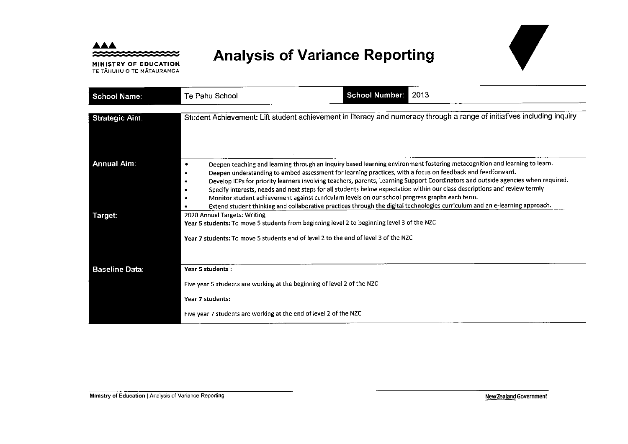≈

MINISTRY OF EDUCATION TE TĂHUHU O TE MĂTAURANGA

## **Analysis of Variance Reporting**



| <b>School Name</b>           | Te Pahu School                                                                                                                                                                    | School Number: 2013                                                                                                                                                                                                                                                                                                                                                                                                                                                                                                                                                                                                                       |
|------------------------------|-----------------------------------------------------------------------------------------------------------------------------------------------------------------------------------|-------------------------------------------------------------------------------------------------------------------------------------------------------------------------------------------------------------------------------------------------------------------------------------------------------------------------------------------------------------------------------------------------------------------------------------------------------------------------------------------------------------------------------------------------------------------------------------------------------------------------------------------|
| <b>Strategic Aim:</b>        |                                                                                                                                                                                   | Student Achievement: Lift student achievement in literacy and numeracy through a range of initiatives including inquiry                                                                                                                                                                                                                                                                                                                                                                                                                                                                                                                   |
| <b>Annual Aim</b><br>Target: | ٠<br>Monitor student achievement against curriculum levels on our school progress graphs each term.<br>2020 Annual Targets: Writing                                               | Deepen teaching and learning through an inquiry based learning environment fostering metacognition and learning to learn.<br>Deepen understanding to embed assessment for learning practices, with a focus on feedback and feedforward.<br>Develop IEPs for priority learners involving teachers, parents, Learning Support Coordinators and outside agencies when required.<br>Specify interests, needs and next steps for all students below expectation within our class descriptions and review termly<br>Extend student thinking and collaborative practices through the digital technologies curriculum and an e-learning approach. |
|                              | Year 5 students: To move 5 students from beginning level 2 to beginning level 3 of the NZC<br>Year 7 students: To move 5 students end of level 2 to the end of level 3 of the NZC |                                                                                                                                                                                                                                                                                                                                                                                                                                                                                                                                                                                                                                           |
| <b>Baseline Data:</b>        | Year 5 students:                                                                                                                                                                  |                                                                                                                                                                                                                                                                                                                                                                                                                                                                                                                                                                                                                                           |
|                              | Five year 5 students are working at the beginning of level 2 of the NZC                                                                                                           |                                                                                                                                                                                                                                                                                                                                                                                                                                                                                                                                                                                                                                           |
|                              | Year 7 students:                                                                                                                                                                  |                                                                                                                                                                                                                                                                                                                                                                                                                                                                                                                                                                                                                                           |
|                              | Five year 7 students are working at the end of level 2 of the NZC                                                                                                                 |                                                                                                                                                                                                                                                                                                                                                                                                                                                                                                                                                                                                                                           |